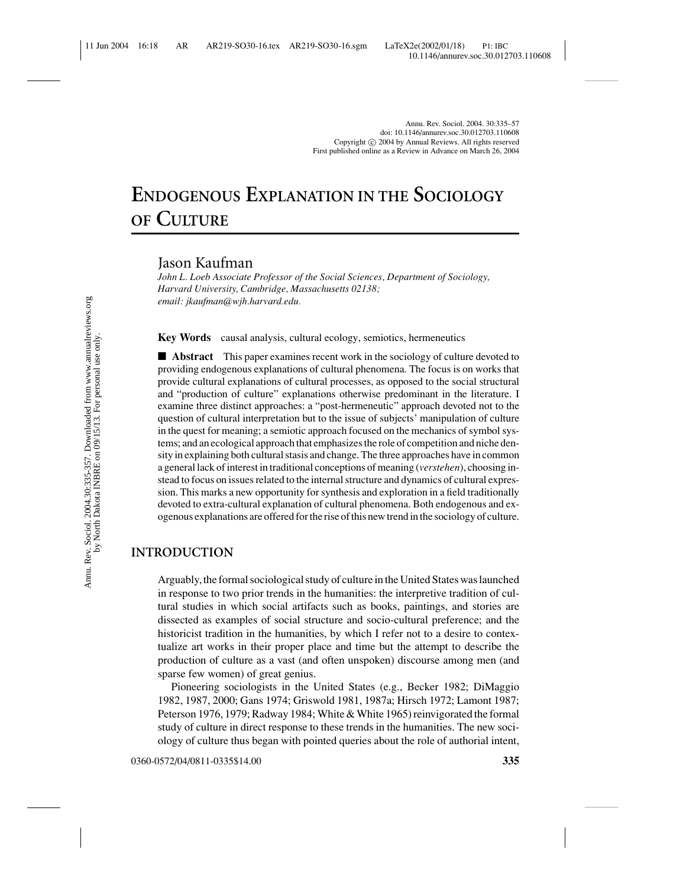## **ENDOGENOUS EXPLANATION IN THE SOCIOLOGY OF CULTURE**

Jason Kaufman

*John L. Loeb Associate Professor of the Social Sciences, Department of Sociology, Harvard University, Cambridge, Massachusetts 02138; email: jkaufman@wjh.harvard.edu.*

**Key Words** causal analysis, cultural ecology, semiotics, hermeneutics

■ **Abstract** This paper examines recent work in the sociology of culture devoted to providing endogenous explanations of cultural phenomena. The focus is on works that provide cultural explanations of cultural processes, as opposed to the social structural and "production of culture" explanations otherwise predominant in the literature. I examine three distinct approaches: a "post-hermeneutic" approach devoted not to the question of cultural interpretation but to the issue of subjects' manipulation of culture in the quest for meaning; a semiotic approach focused on the mechanics of symbol systems; and an ecological approach that emphasizes the role of competition and niche density in explaining both cultural stasis and change. The three approaches have in common a general lack of interest in traditional conceptions of meaning (*verstehen*), choosing instead to focus on issues related to the internal structure and dynamics of cultural expression. This marks a new opportunity for synthesis and exploration in a field traditionally devoted to extra-cultural explanation of cultural phenomena. Both endogenous and exogenous explanations are offered for the rise of this new trend in the sociology of culture.

## **INTRODUCTION**

Arguably, the formal sociological study of culture in the United States was launched in response to two prior trends in the humanities: the interpretive tradition of cultural studies in which social artifacts such as books, paintings, and stories are dissected as examples of social structure and socio-cultural preference; and the historicist tradition in the humanities, by which I refer not to a desire to contextualize art works in their proper place and time but the attempt to describe the production of culture as a vast (and often unspoken) discourse among men (and sparse few women) of great genius.

Pioneering sociologists in the United States (e.g., Becker 1982; DiMaggio 1982, 1987, 2000; Gans 1974; Griswold 1981, 1987a; Hirsch 1972; Lamont 1987; Peterson 1976, 1979; Radway 1984; White & White 1965) reinvigorated the formal study of culture in direct response to these trends in the humanities. The new sociology of culture thus began with pointed queries about the role of authorial intent,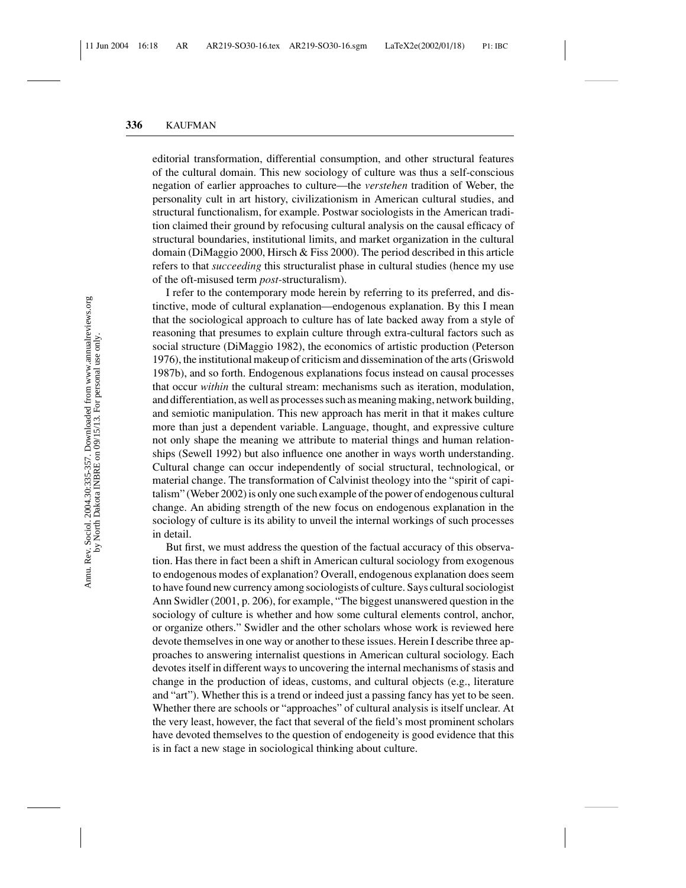editorial transformation, differential consumption, and other structural features of the cultural domain. This new sociology of culture was thus a self-conscious negation of earlier approaches to culture—the *verstehen* tradition of Weber, the personality cult in art history, civilizationism in American cultural studies, and structural functionalism, for example. Postwar sociologists in the American tradition claimed their ground by refocusing cultural analysis on the causal efficacy of structural boundaries, institutional limits, and market organization in the cultural domain (DiMaggio 2000, Hirsch & Fiss 2000). The period described in this article refers to that *succeeding* this structuralist phase in cultural studies (hence my use of the oft-misused term *post-*structuralism).

I refer to the contemporary mode herein by referring to its preferred, and distinctive, mode of cultural explanation—endogenous explanation. By this I mean that the sociological approach to culture has of late backed away from a style of reasoning that presumes to explain culture through extra-cultural factors such as social structure (DiMaggio 1982), the economics of artistic production (Peterson 1976), the institutional makeup of criticism and dissemination of the arts (Griswold 1987b), and so forth. Endogenous explanations focus instead on causal processes that occur *within* the cultural stream: mechanisms such as iteration, modulation, and differentiation, as well as processes such as meaning making, network building, and semiotic manipulation. This new approach has merit in that it makes culture more than just a dependent variable. Language, thought, and expressive culture not only shape the meaning we attribute to material things and human relationships (Sewell 1992) but also influence one another in ways worth understanding. Cultural change can occur independently of social structural, technological, or material change. The transformation of Calvinist theology into the "spirit of capitalism" (Weber 2002) is only one such example of the power of endogenous cultural change. An abiding strength of the new focus on endogenous explanation in the sociology of culture is its ability to unveil the internal workings of such processes in detail.

But first, we must address the question of the factual accuracy of this observation. Has there in fact been a shift in American cultural sociology from exogenous to endogenous modes of explanation? Overall, endogenous explanation does seem to have found new currency among sociologists of culture. Says cultural sociologist Ann Swidler (2001, p. 206), for example, "The biggest unanswered question in the sociology of culture is whether and how some cultural elements control, anchor, or organize others." Swidler and the other scholars whose work is reviewed here devote themselves in one way or another to these issues. Herein I describe three approaches to answering internalist questions in American cultural sociology. Each devotes itself in different ways to uncovering the internal mechanisms of stasis and change in the production of ideas, customs, and cultural objects (e.g., literature and "art"). Whether this is a trend or indeed just a passing fancy has yet to be seen. Whether there are schools or "approaches" of cultural analysis is itself unclear. At the very least, however, the fact that several of the field's most prominent scholars have devoted themselves to the question of endogeneity is good evidence that this is in fact a new stage in sociological thinking about culture.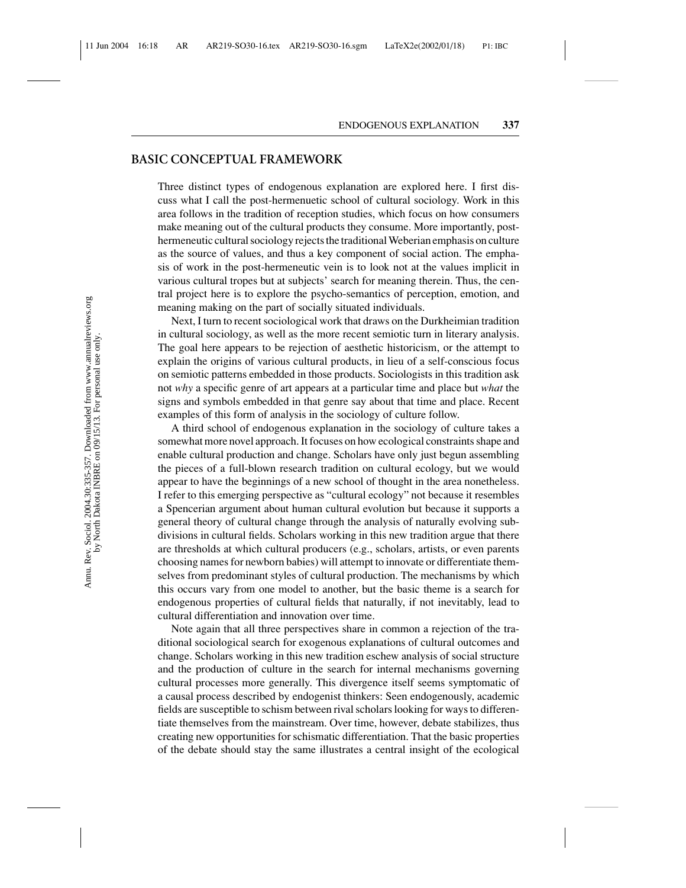#### **BASIC CONCEPTUAL FRAMEWORK**

Three distinct types of endogenous explanation are explored here. I first discuss what I call the post-hermenuetic school of cultural sociology. Work in this area follows in the tradition of reception studies, which focus on how consumers make meaning out of the cultural products they consume. More importantly, posthermeneutic cultural sociology rejects the traditional Weberian emphasis on culture as the source of values, and thus a key component of social action. The emphasis of work in the post-hermeneutic vein is to look not at the values implicit in various cultural tropes but at subjects' search for meaning therein. Thus, the central project here is to explore the psycho-semantics of perception, emotion, and meaning making on the part of socially situated individuals.

Next, I turn to recent sociological work that draws on the Durkheimian tradition in cultural sociology, as well as the more recent semiotic turn in literary analysis. The goal here appears to be rejection of aesthetic historicism, or the attempt to explain the origins of various cultural products, in lieu of a self-conscious focus on semiotic patterns embedded in those products. Sociologists in this tradition ask not *why* a specific genre of art appears at a particular time and place but *what* the signs and symbols embedded in that genre say about that time and place. Recent examples of this form of analysis in the sociology of culture follow.

A third school of endogenous explanation in the sociology of culture takes a somewhat more novel approach. It focuses on how ecological constraints shape and enable cultural production and change. Scholars have only just begun assembling the pieces of a full-blown research tradition on cultural ecology, but we would appear to have the beginnings of a new school of thought in the area nonetheless. I refer to this emerging perspective as "cultural ecology" not because it resembles a Spencerian argument about human cultural evolution but because it supports a general theory of cultural change through the analysis of naturally evolving subdivisions in cultural fields. Scholars working in this new tradition argue that there are thresholds at which cultural producers (e.g., scholars, artists, or even parents choosing names for newborn babies) will attempt to innovate or differentiate themselves from predominant styles of cultural production. The mechanisms by which this occurs vary from one model to another, but the basic theme is a search for endogenous properties of cultural fields that naturally, if not inevitably, lead to cultural differentiation and innovation over time.

Note again that all three perspectives share in common a rejection of the traditional sociological search for exogenous explanations of cultural outcomes and change. Scholars working in this new tradition eschew analysis of social structure and the production of culture in the search for internal mechanisms governing cultural processes more generally. This divergence itself seems symptomatic of a causal process described by endogenist thinkers: Seen endogenously, academic fields are susceptible to schism between rival scholars looking for ways to differentiate themselves from the mainstream. Over time, however, debate stabilizes, thus creating new opportunities for schismatic differentiation. That the basic properties of the debate should stay the same illustrates a central insight of the ecological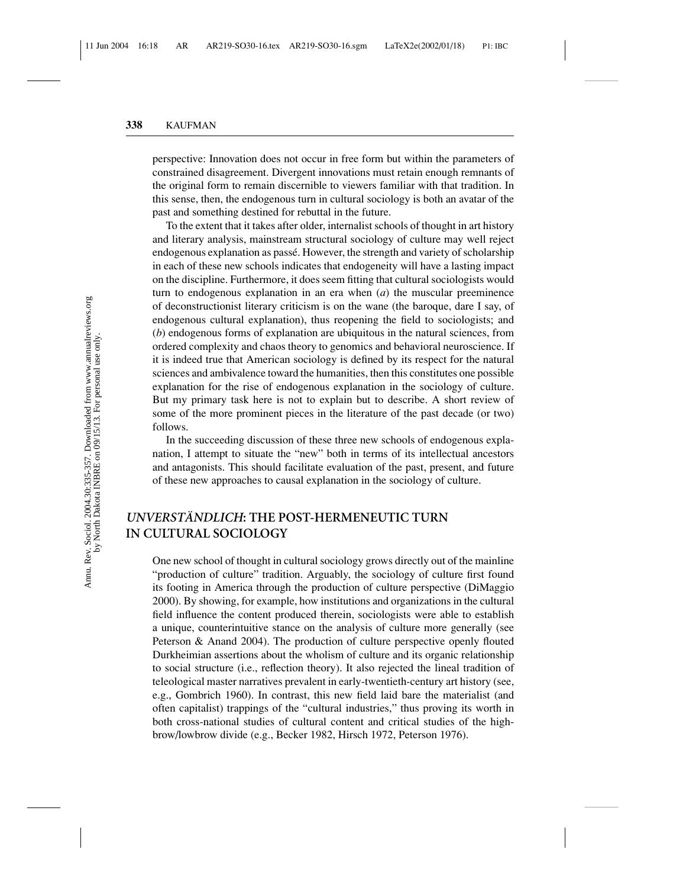perspective: Innovation does not occur in free form but within the parameters of constrained disagreement. Divergent innovations must retain enough remnants of the original form to remain discernible to viewers familiar with that tradition. In this sense, then, the endogenous turn in cultural sociology is both an avatar of the past and something destined for rebuttal in the future.

To the extent that it takes after older, internalist schools of thought in art history and literary analysis, mainstream structural sociology of culture may well reject endogenous explanation as passe. However, the strength and variety of scholarship ´ in each of these new schools indicates that endogeneity will have a lasting impact on the discipline. Furthermore, it does seem fitting that cultural sociologists would turn to endogenous explanation in an era when (*a*) the muscular preeminence of deconstructionist literary criticism is on the wane (the baroque, dare I say, of endogenous cultural explanation), thus reopening the field to sociologists; and (*b*) endogenous forms of explanation are ubiquitous in the natural sciences, from ordered complexity and chaos theory to genomics and behavioral neuroscience. If it is indeed true that American sociology is defined by its respect for the natural sciences and ambivalence toward the humanities, then this constitutes one possible explanation for the rise of endogenous explanation in the sociology of culture. But my primary task here is not to explain but to describe. A short review of some of the more prominent pieces in the literature of the past decade (or two) follows.

In the succeeding discussion of these three new schools of endogenous explanation, I attempt to situate the "new" both in terms of its intellectual ancestors and antagonists. This should facilitate evaluation of the past, present, and future of these new approaches to causal explanation in the sociology of culture.

## *UNVERSTANDLICH ¨* **: THE POST-HERMENEUTIC TURN IN CULTURAL SOCIOLOGY**

One new school of thought in cultural sociology grows directly out of the mainline "production of culture" tradition. Arguably, the sociology of culture first found its footing in America through the production of culture perspective (DiMaggio 2000). By showing, for example, how institutions and organizations in the cultural field influence the content produced therein, sociologists were able to establish a unique, counterintuitive stance on the analysis of culture more generally (see Peterson & Anand 2004). The production of culture perspective openly flouted Durkheimian assertions about the wholism of culture and its organic relationship to social structure (i.e., reflection theory). It also rejected the lineal tradition of teleological master narratives prevalent in early-twentieth-century art history (see, e.g., Gombrich 1960). In contrast, this new field laid bare the materialist (and often capitalist) trappings of the "cultural industries," thus proving its worth in both cross-national studies of cultural content and critical studies of the highbrow/lowbrow divide (e.g., Becker 1982, Hirsch 1972, Peterson 1976).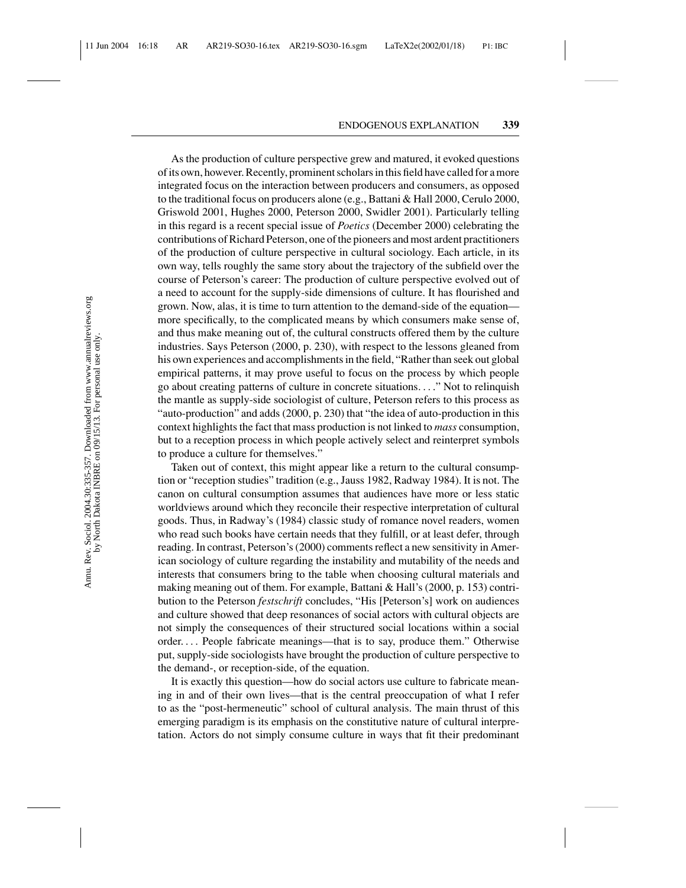As the production of culture perspective grew and matured, it evoked questions of its own, however. Recently, prominent scholars in this field have called for a more integrated focus on the interaction between producers and consumers, as opposed to the traditional focus on producers alone (e.g., Battani & Hall 2000, Cerulo 2000, Griswold 2001, Hughes 2000, Peterson 2000, Swidler 2001). Particularly telling in this regard is a recent special issue of *Poetics* (December 2000) celebrating the contributions of Richard Peterson, one of the pioneers and most ardent practitioners of the production of culture perspective in cultural sociology. Each article, in its own way, tells roughly the same story about the trajectory of the subfield over the course of Peterson's career: The production of culture perspective evolved out of a need to account for the supply-side dimensions of culture. It has flourished and grown. Now, alas, it is time to turn attention to the demand-side of the equation more specifically, to the complicated means by which consumers make sense of, and thus make meaning out of, the cultural constructs offered them by the culture industries. Says Peterson (2000, p. 230), with respect to the lessons gleaned from his own experiences and accomplishments in the field, "Rather than seek out global empirical patterns, it may prove useful to focus on the process by which people go about creating patterns of culture in concrete situations... ." Not to relinquish the mantle as supply-side sociologist of culture, Peterson refers to this process as "auto-production" and adds (2000, p. 230) that "the idea of auto-production in this context highlights the fact that mass production is not linked to *mass* consumption, but to a reception process in which people actively select and reinterpret symbols to produce a culture for themselves."

Taken out of context, this might appear like a return to the cultural consumption or "reception studies" tradition (e.g., Jauss 1982, Radway 1984). It is not. The canon on cultural consumption assumes that audiences have more or less static worldviews around which they reconcile their respective interpretation of cultural goods. Thus, in Radway's (1984) classic study of romance novel readers, women who read such books have certain needs that they fulfill, or at least defer, through reading. In contrast, Peterson's (2000) comments reflect a new sensitivity in American sociology of culture regarding the instability and mutability of the needs and interests that consumers bring to the table when choosing cultural materials and making meaning out of them. For example, Battani & Hall's (2000, p. 153) contribution to the Peterson *festschrift* concludes, "His [Peterson's] work on audiences and culture showed that deep resonances of social actors with cultural objects are not simply the consequences of their structured social locations within a social order. ... People fabricate meanings—that is to say, produce them." Otherwise put, supply-side sociologists have brought the production of culture perspective to the demand-, or reception-side, of the equation.

It is exactly this question—how do social actors use culture to fabricate meaning in and of their own lives—that is the central preoccupation of what I refer to as the "post-hermeneutic" school of cultural analysis. The main thrust of this emerging paradigm is its emphasis on the constitutive nature of cultural interpretation. Actors do not simply consume culture in ways that fit their predominant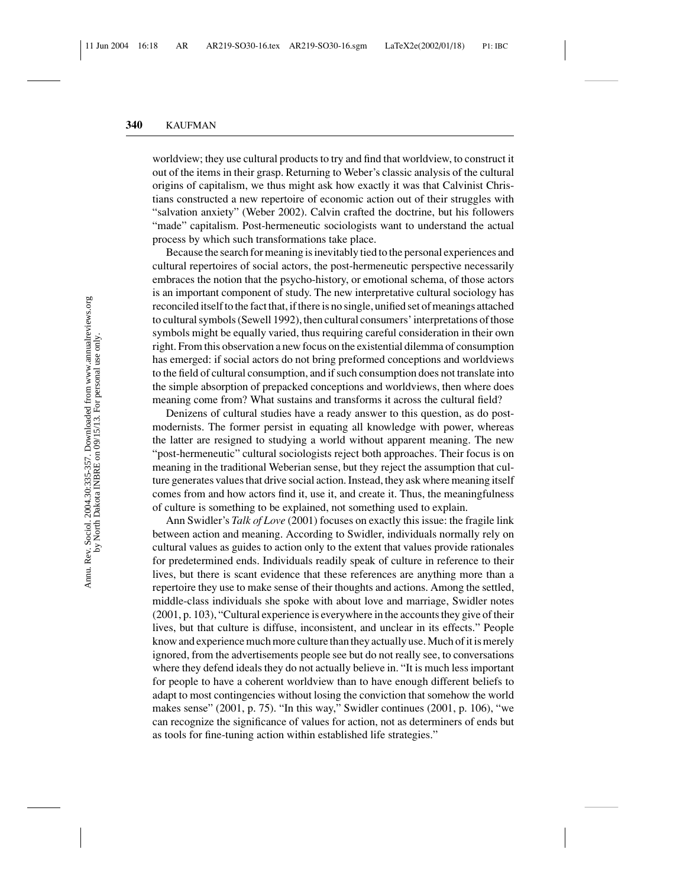worldview; they use cultural products to try and find that worldview, to construct it out of the items in their grasp. Returning to Weber's classic analysis of the cultural origins of capitalism, we thus might ask how exactly it was that Calvinist Christians constructed a new repertoire of economic action out of their struggles with "salvation anxiety" (Weber 2002). Calvin crafted the doctrine, but his followers "made" capitalism. Post-hermeneutic sociologists want to understand the actual process by which such transformations take place.

Because the search for meaning is inevitably tied to the personal experiences and cultural repertoires of social actors, the post-hermeneutic perspective necessarily embraces the notion that the psycho-history, or emotional schema, of those actors is an important component of study. The new interpretative cultural sociology has reconciled itself to the fact that, if there is no single, unified set of meanings attached to cultural symbols (Sewell 1992), then cultural consumers'interpretations of those symbols might be equally varied, thus requiring careful consideration in their own right. From this observation a new focus on the existential dilemma of consumption has emerged: if social actors do not bring preformed conceptions and worldviews to the field of cultural consumption, and if such consumption does not translate into the simple absorption of prepacked conceptions and worldviews, then where does meaning come from? What sustains and transforms it across the cultural field?

Denizens of cultural studies have a ready answer to this question, as do postmodernists. The former persist in equating all knowledge with power, whereas the latter are resigned to studying a world without apparent meaning. The new "post-hermeneutic" cultural sociologists reject both approaches. Their focus is on meaning in the traditional Weberian sense, but they reject the assumption that culture generates values that drive social action. Instead, they ask where meaning itself comes from and how actors find it, use it, and create it. Thus, the meaningfulness of culture is something to be explained, not something used to explain.

Ann Swidler's *Talk of Love* (2001) focuses on exactly this issue: the fragile link between action and meaning. According to Swidler, individuals normally rely on cultural values as guides to action only to the extent that values provide rationales for predetermined ends. Individuals readily speak of culture in reference to their lives, but there is scant evidence that these references are anything more than a repertoire they use to make sense of their thoughts and actions. Among the settled, middle-class individuals she spoke with about love and marriage, Swidler notes (2001, p. 103), "Cultural experience is everywhere in the accounts they give of their lives, but that culture is diffuse, inconsistent, and unclear in its effects." People know and experience much more culture than they actually use. Much of it is merely ignored, from the advertisements people see but do not really see, to conversations where they defend ideals they do not actually believe in. "It is much less important for people to have a coherent worldview than to have enough different beliefs to adapt to most contingencies without losing the conviction that somehow the world makes sense" (2001, p. 75). "In this way," Swidler continues (2001, p. 106), "we can recognize the significance of values for action, not as determiners of ends but as tools for fine-tuning action within established life strategies."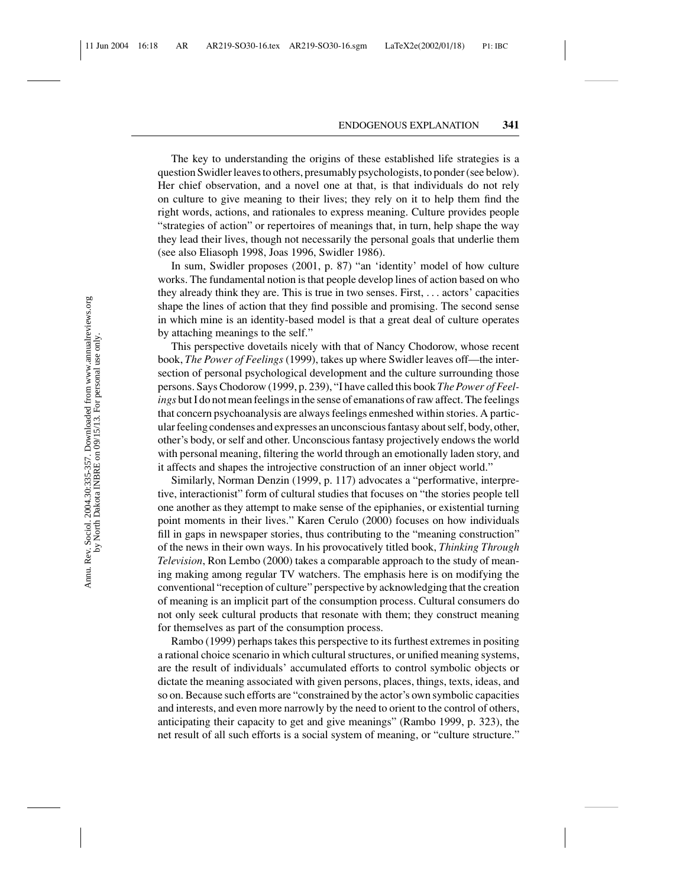The key to understanding the origins of these established life strategies is a question Swidler leaves to others, presumably psychologists, to ponder (see below). Her chief observation, and a novel one at that, is that individuals do not rely on culture to give meaning to their lives; they rely on it to help them find the right words, actions, and rationales to express meaning. Culture provides people "strategies of action" or repertoires of meanings that, in turn, help shape the way they lead their lives, though not necessarily the personal goals that underlie them (see also Eliasoph 1998, Joas 1996, Swidler 1986).

In sum, Swidler proposes (2001, p. 87) "an 'identity' model of how culture works. The fundamental notion is that people develop lines of action based on who they already think they are. This is true in two senses. First, ... actors' capacities shape the lines of action that they find possible and promising. The second sense in which mine is an identity-based model is that a great deal of culture operates by attaching meanings to the self."

This perspective dovetails nicely with that of Nancy Chodorow, whose recent book, *The Power of Feelings* (1999), takes up where Swidler leaves off—the intersection of personal psychological development and the culture surrounding those persons. Says Chodorow (1999, p. 239), "I have called this book *The Power of Feelings* but I do not mean feelings in the sense of emanations of raw affect. The feelings that concern psychoanalysis are always feelings enmeshed within stories. A particular feeling condenses and expresses an unconscious fantasy about self, body, other, other's body, or self and other. Unconscious fantasy projectively endows the world with personal meaning, filtering the world through an emotionally laden story, and it affects and shapes the introjective construction of an inner object world."

Similarly, Norman Denzin (1999, p. 117) advocates a "performative, interpretive, interactionist" form of cultural studies that focuses on "the stories people tell one another as they attempt to make sense of the epiphanies, or existential turning point moments in their lives." Karen Cerulo (2000) focuses on how individuals fill in gaps in newspaper stories, thus contributing to the "meaning construction" of the news in their own ways. In his provocatively titled book, *Thinking Through Television*, Ron Lembo (2000) takes a comparable approach to the study of meaning making among regular TV watchers. The emphasis here is on modifying the conventional "reception of culture" perspective by acknowledging that the creation of meaning is an implicit part of the consumption process. Cultural consumers do not only seek cultural products that resonate with them; they construct meaning for themselves as part of the consumption process.

Rambo (1999) perhaps takes this perspective to its furthest extremes in positing a rational choice scenario in which cultural structures, or unified meaning systems, are the result of individuals' accumulated efforts to control symbolic objects or dictate the meaning associated with given persons, places, things, texts, ideas, and so on. Because such efforts are "constrained by the actor's own symbolic capacities and interests, and even more narrowly by the need to orient to the control of others, anticipating their capacity to get and give meanings" (Rambo 1999, p. 323), the net result of all such efforts is a social system of meaning, or "culture structure."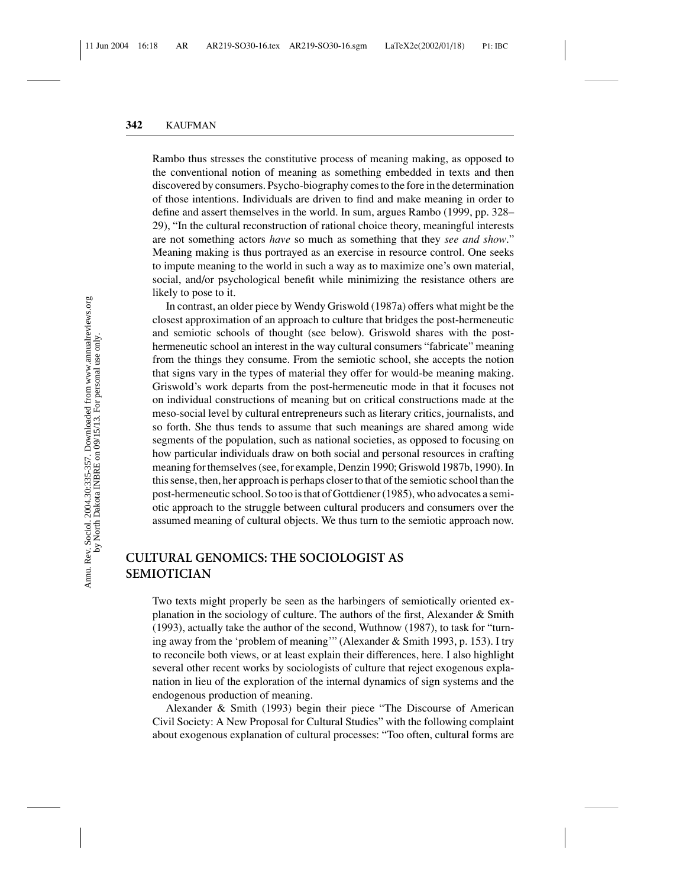Rambo thus stresses the constitutive process of meaning making, as opposed to the conventional notion of meaning as something embedded in texts and then discovered by consumers. Psycho-biography comes to the fore in the determination of those intentions. Individuals are driven to find and make meaning in order to define and assert themselves in the world. In sum, argues Rambo (1999, pp. 328– 29), "In the cultural reconstruction of rational choice theory, meaningful interests are not something actors *have* so much as something that they *see and show*." Meaning making is thus portrayed as an exercise in resource control. One seeks to impute meaning to the world in such a way as to maximize one's own material, social, and/or psychological benefit while minimizing the resistance others are likely to pose to it.

In contrast, an older piece by Wendy Griswold (1987a) offers what might be the closest approximation of an approach to culture that bridges the post-hermeneutic and semiotic schools of thought (see below). Griswold shares with the posthermeneutic school an interest in the way cultural consumers "fabricate" meaning from the things they consume. From the semiotic school, she accepts the notion that signs vary in the types of material they offer for would-be meaning making. Griswold's work departs from the post-hermeneutic mode in that it focuses not on individual constructions of meaning but on critical constructions made at the meso-social level by cultural entrepreneurs such as literary critics, journalists, and so forth. She thus tends to assume that such meanings are shared among wide segments of the population, such as national societies, as opposed to focusing on how particular individuals draw on both social and personal resources in crafting meaning for themselves (see, for example, Denzin 1990; Griswold 1987b, 1990). In this sense, then, her approach is perhaps closer to that of the semiotic school than the post-hermeneutic school. So too is that of Gottdiener (1985), who advocates a semiotic approach to the struggle between cultural producers and consumers over the assumed meaning of cultural objects. We thus turn to the semiotic approach now.

#### **CULTURAL GENOMICS: THE SOCIOLOGIST AS SEMIOTICIAN**

Two texts might properly be seen as the harbingers of semiotically oriented explanation in the sociology of culture. The authors of the first, Alexander & Smith (1993), actually take the author of the second, Wuthnow (1987), to task for "turning away from the 'problem of meaning'" (Alexander & Smith 1993, p. 153). I try to reconcile both views, or at least explain their differences, here. I also highlight several other recent works by sociologists of culture that reject exogenous explanation in lieu of the exploration of the internal dynamics of sign systems and the endogenous production of meaning.

Alexander & Smith (1993) begin their piece "The Discourse of American Civil Society: A New Proposal for Cultural Studies" with the following complaint about exogenous explanation of cultural processes: "Too often, cultural forms are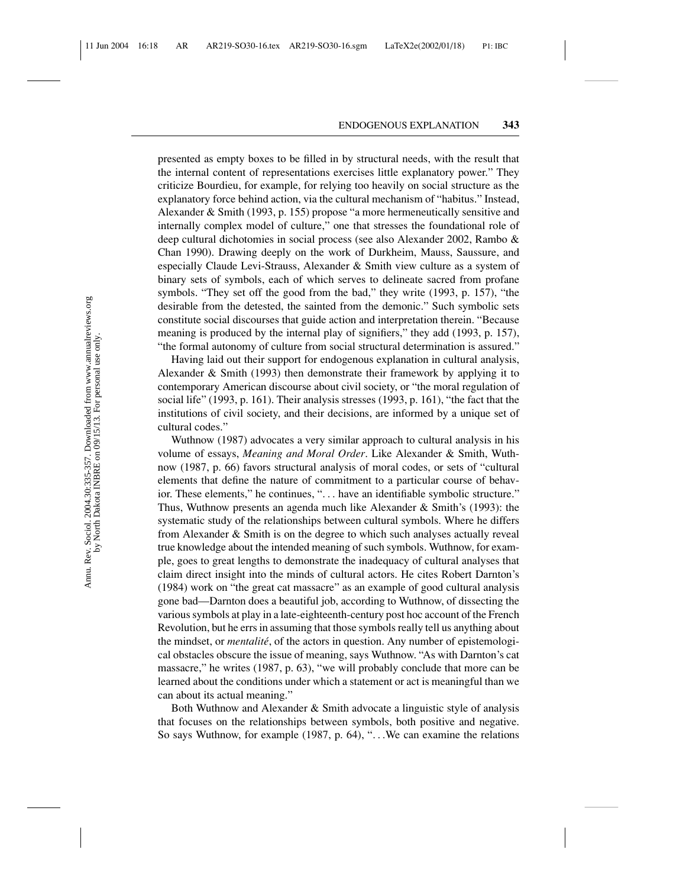presented as empty boxes to be filled in by structural needs, with the result that the internal content of representations exercises little explanatory power." They criticize Bourdieu, for example, for relying too heavily on social structure as the explanatory force behind action, via the cultural mechanism of "habitus." Instead, Alexander & Smith (1993, p. 155) propose "a more hermeneutically sensitive and internally complex model of culture," one that stresses the foundational role of deep cultural dichotomies in social process (see also Alexander 2002, Rambo & Chan 1990). Drawing deeply on the work of Durkheim, Mauss, Saussure, and especially Claude Levi-Strauss, Alexander & Smith view culture as a system of binary sets of symbols, each of which serves to delineate sacred from profane symbols. "They set off the good from the bad," they write (1993, p. 157), "the desirable from the detested, the sainted from the demonic." Such symbolic sets constitute social discourses that guide action and interpretation therein. "Because meaning is produced by the internal play of signifiers," they add (1993, p. 157), "the formal autonomy of culture from social structural determination is assured."

Having laid out their support for endogenous explanation in cultural analysis, Alexander & Smith (1993) then demonstrate their framework by applying it to contemporary American discourse about civil society, or "the moral regulation of social life" (1993, p. 161). Their analysis stresses (1993, p. 161), "the fact that the institutions of civil society, and their decisions, are informed by a unique set of cultural codes."

Wuthnow (1987) advocates a very similar approach to cultural analysis in his volume of essays, *Meaning and Moral Order*. Like Alexander & Smith, Wuthnow (1987, p. 66) favors structural analysis of moral codes, or sets of "cultural elements that define the nature of commitment to a particular course of behavior. These elements," he continues, "... have an identifiable symbolic structure." Thus, Wuthnow presents an agenda much like Alexander & Smith's (1993): the systematic study of the relationships between cultural symbols. Where he differs from Alexander & Smith is on the degree to which such analyses actually reveal true knowledge about the intended meaning of such symbols. Wuthnow, for example, goes to great lengths to demonstrate the inadequacy of cultural analyses that claim direct insight into the minds of cultural actors. He cites Robert Darnton's (1984) work on "the great cat massacre" as an example of good cultural analysis gone bad—Darnton does a beautiful job, according to Wuthnow, of dissecting the various symbols at play in a late-eighteenth-century post hoc account of the French Revolution, but he errs in assuming that those symbols really tell us anything about the mindset, or *mentalité*, of the actors in question. Any number of epistemological obstacles obscure the issue of meaning, says Wuthnow. "As with Darnton's cat massacre," he writes (1987, p. 63), "we will probably conclude that more can be learned about the conditions under which a statement or act is meaningful than we can about its actual meaning."

Both Wuthnow and Alexander & Smith advocate a linguistic style of analysis that focuses on the relationships between symbols, both positive and negative. So says Wuthnow, for example (1987, p. 64), "...We can examine the relations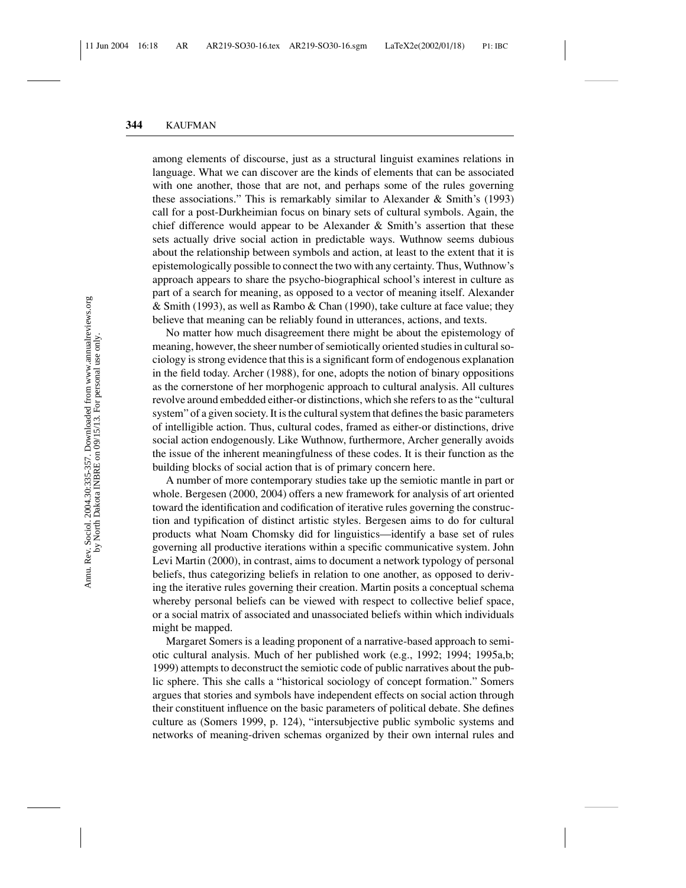among elements of discourse, just as a structural linguist examines relations in language. What we can discover are the kinds of elements that can be associated with one another, those that are not, and perhaps some of the rules governing these associations." This is remarkably similar to Alexander & Smith's (1993) call for a post-Durkheimian focus on binary sets of cultural symbols. Again, the chief difference would appear to be Alexander  $\&$  Smith's assertion that these sets actually drive social action in predictable ways. Wuthnow seems dubious about the relationship between symbols and action, at least to the extent that it is epistemologically possible to connect the two with any certainty. Thus, Wuthnow's approach appears to share the psycho-biographical school's interest in culture as part of a search for meaning, as opposed to a vector of meaning itself. Alexander & Smith (1993), as well as Rambo & Chan (1990), take culture at face value; they believe that meaning can be reliably found in utterances, actions, and texts.

No matter how much disagreement there might be about the epistemology of meaning, however, the sheer number of semiotically oriented studies in cultural sociology is strong evidence that this is a significant form of endogenous explanation in the field today. Archer (1988), for one, adopts the notion of binary oppositions as the cornerstone of her morphogenic approach to cultural analysis. All cultures revolve around embedded either-or distinctions, which she refers to as the "cultural system" of a given society. It is the cultural system that defines the basic parameters of intelligible action. Thus, cultural codes, framed as either-or distinctions, drive social action endogenously. Like Wuthnow, furthermore, Archer generally avoids the issue of the inherent meaningfulness of these codes. It is their function as the building blocks of social action that is of primary concern here.

A number of more contemporary studies take up the semiotic mantle in part or whole. Bergesen (2000, 2004) offers a new framework for analysis of art oriented toward the identification and codification of iterative rules governing the construction and typification of distinct artistic styles. Bergesen aims to do for cultural products what Noam Chomsky did for linguistics—identify a base set of rules governing all productive iterations within a specific communicative system. John Levi Martin (2000), in contrast, aims to document a network typology of personal beliefs, thus categorizing beliefs in relation to one another, as opposed to deriving the iterative rules governing their creation. Martin posits a conceptual schema whereby personal beliefs can be viewed with respect to collective belief space, or a social matrix of associated and unassociated beliefs within which individuals might be mapped.

Margaret Somers is a leading proponent of a narrative-based approach to semiotic cultural analysis. Much of her published work (e.g., 1992; 1994; 1995a,b; 1999) attempts to deconstruct the semiotic code of public narratives about the public sphere. This she calls a "historical sociology of concept formation." Somers argues that stories and symbols have independent effects on social action through their constituent influence on the basic parameters of political debate. She defines culture as (Somers 1999, p. 124), "intersubjective public symbolic systems and networks of meaning-driven schemas organized by their own internal rules and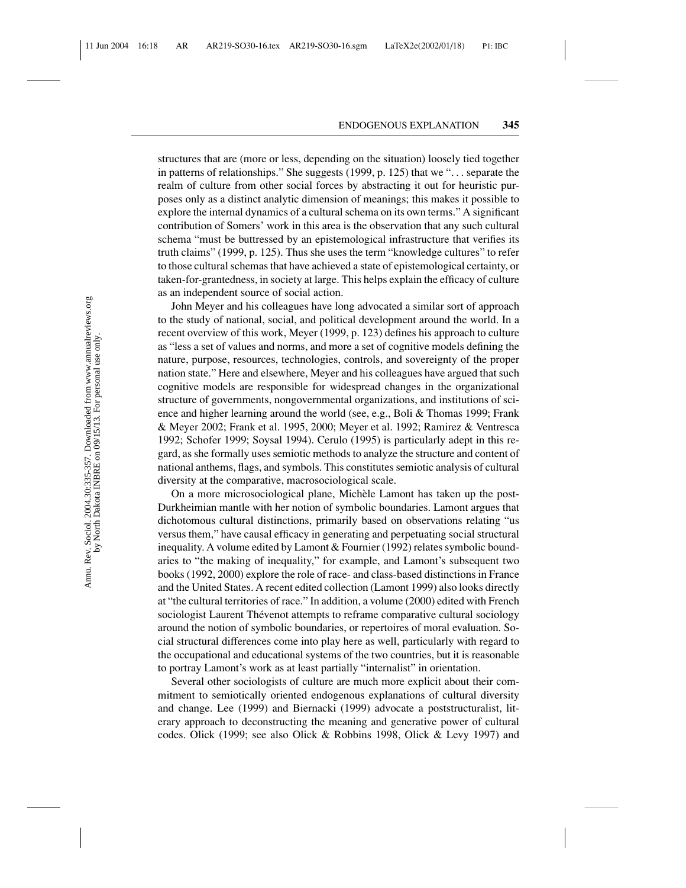structures that are (more or less, depending on the situation) loosely tied together in patterns of relationships." She suggests (1999, p. 125) that we "... separate the realm of culture from other social forces by abstracting it out for heuristic purposes only as a distinct analytic dimension of meanings; this makes it possible to explore the internal dynamics of a cultural schema on its own terms." A significant contribution of Somers' work in this area is the observation that any such cultural schema "must be buttressed by an epistemological infrastructure that verifies its truth claims" (1999, p. 125). Thus she uses the term "knowledge cultures" to refer to those cultural schemas that have achieved a state of epistemological certainty, or taken-for-grantedness, in society at large. This helps explain the efficacy of culture as an independent source of social action.

John Meyer and his colleagues have long advocated a similar sort of approach to the study of national, social, and political development around the world. In a recent overview of this work, Meyer (1999, p. 123) defines his approach to culture as "less a set of values and norms, and more a set of cognitive models defining the nature, purpose, resources, technologies, controls, and sovereignty of the proper nation state." Here and elsewhere, Meyer and his colleagues have argued that such cognitive models are responsible for widespread changes in the organizational structure of governments, nongovernmental organizations, and institutions of science and higher learning around the world (see, e.g., Boli & Thomas 1999; Frank & Meyer 2002; Frank et al. 1995, 2000; Meyer et al. 1992; Ramirez & Ventresca 1992; Schofer 1999; Soysal 1994). Cerulo (1995) is particularly adept in this regard, as she formally uses semiotic methods to analyze the structure and content of national anthems, flags, and symbols. This constitutes semiotic analysis of cultural diversity at the comparative, macrosociological scale.

On a more microsociological plane, Michèle Lamont has taken up the post-Durkheimian mantle with her notion of symbolic boundaries. Lamont argues that dichotomous cultural distinctions, primarily based on observations relating "us versus them," have causal efficacy in generating and perpetuating social structural inequality. A volume edited by Lamont  $&$  Fournier (1992) relates symbolic boundaries to "the making of inequality," for example, and Lamont's subsequent two books (1992, 2000) explore the role of race- and class-based distinctions in France and the United States. A recent edited collection (Lamont 1999) also looks directly at "the cultural territories of race." In addition, a volume (2000) edited with French sociologist Laurent Thévenot attempts to reframe comparative cultural sociology around the notion of symbolic boundaries, or repertoires of moral evaluation. Social structural differences come into play here as well, particularly with regard to the occupational and educational systems of the two countries, but it is reasonable to portray Lamont's work as at least partially "internalist" in orientation.

Several other sociologists of culture are much more explicit about their commitment to semiotically oriented endogenous explanations of cultural diversity and change. Lee (1999) and Biernacki (1999) advocate a poststructuralist, literary approach to deconstructing the meaning and generative power of cultural codes. Olick (1999; see also Olick & Robbins 1998, Olick & Levy 1997) and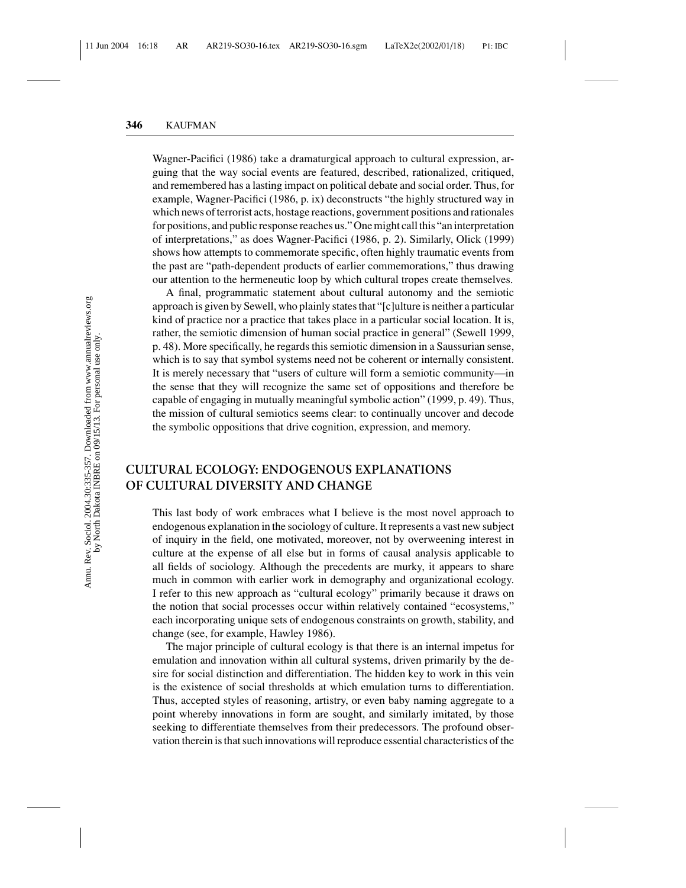Wagner-Pacifici (1986) take a dramaturgical approach to cultural expression, arguing that the way social events are featured, described, rationalized, critiqued, and remembered has a lasting impact on political debate and social order. Thus, for example, Wagner-Pacifici (1986, p. ix) deconstructs "the highly structured way in which news of terrorist acts, hostage reactions, government positions and rationales for positions, and public response reaches us."One might call this "an interpretation of interpretations," as does Wagner-Pacifici (1986, p. 2). Similarly, Olick (1999) shows how attempts to commemorate specific, often highly traumatic events from the past are "path-dependent products of earlier commemorations," thus drawing our attention to the hermeneutic loop by which cultural tropes create themselves.

A final, programmatic statement about cultural autonomy and the semiotic approach is given by Sewell, who plainly states that "[c]ulture is neither a particular kind of practice nor a practice that takes place in a particular social location. It is, rather, the semiotic dimension of human social practice in general" (Sewell 1999, p. 48). More specifically, he regards this semiotic dimension in a Saussurian sense, which is to say that symbol systems need not be coherent or internally consistent. It is merely necessary that "users of culture will form a semiotic community—in the sense that they will recognize the same set of oppositions and therefore be capable of engaging in mutually meaningful symbolic action" (1999, p. 49). Thus, the mission of cultural semiotics seems clear: to continually uncover and decode the symbolic oppositions that drive cognition, expression, and memory.

### **CULTURAL ECOLOGY: ENDOGENOUS EXPLANATIONS OF CULTURAL DIVERSITY AND CHANGE**

This last body of work embraces what I believe is the most novel approach to endogenous explanation in the sociology of culture. It represents a vast new subject of inquiry in the field, one motivated, moreover, not by overweening interest in culture at the expense of all else but in forms of causal analysis applicable to all fields of sociology. Although the precedents are murky, it appears to share much in common with earlier work in demography and organizational ecology. I refer to this new approach as "cultural ecology" primarily because it draws on the notion that social processes occur within relatively contained "ecosystems," each incorporating unique sets of endogenous constraints on growth, stability, and change (see, for example, Hawley 1986).

The major principle of cultural ecology is that there is an internal impetus for emulation and innovation within all cultural systems, driven primarily by the desire for social distinction and differentiation. The hidden key to work in this vein is the existence of social thresholds at which emulation turns to differentiation. Thus, accepted styles of reasoning, artistry, or even baby naming aggregate to a point whereby innovations in form are sought, and similarly imitated, by those seeking to differentiate themselves from their predecessors. The profound observation therein is that such innovations will reproduce essential characteristics of the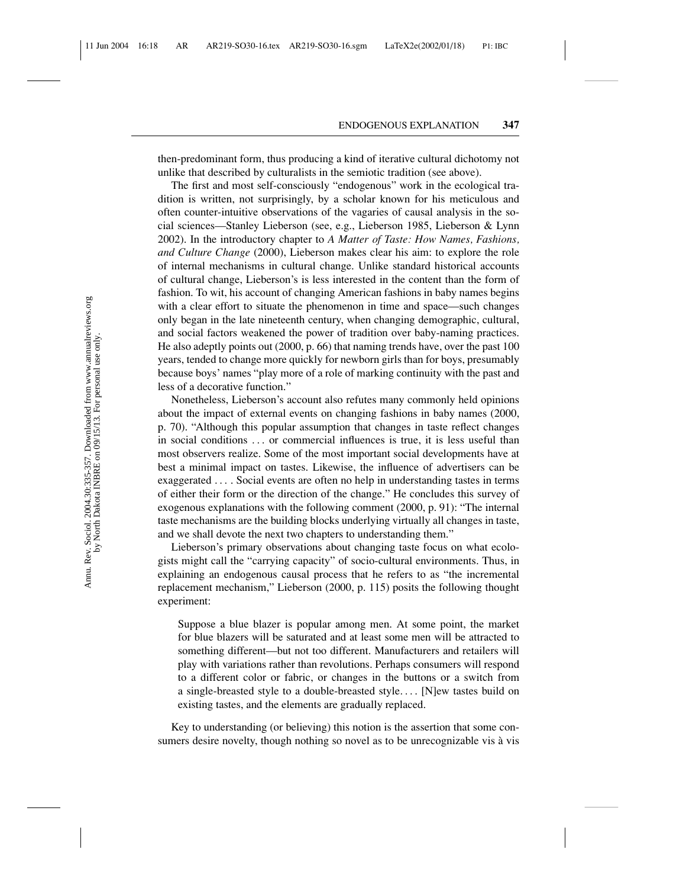then-predominant form, thus producing a kind of iterative cultural dichotomy not unlike that described by culturalists in the semiotic tradition (see above).

The first and most self-consciously "endogenous" work in the ecological tradition is written, not surprisingly, by a scholar known for his meticulous and often counter-intuitive observations of the vagaries of causal analysis in the social sciences—Stanley Lieberson (see, e.g., Lieberson 1985, Lieberson & Lynn 2002). In the introductory chapter to *A Matter of Taste: How Names, Fashions, and Culture Change* (2000), Lieberson makes clear his aim: to explore the role of internal mechanisms in cultural change. Unlike standard historical accounts of cultural change, Lieberson's is less interested in the content than the form of fashion. To wit, his account of changing American fashions in baby names begins with a clear effort to situate the phenomenon in time and space—such changes only began in the late nineteenth century, when changing demographic, cultural, and social factors weakened the power of tradition over baby-naming practices. He also adeptly points out (2000, p. 66) that naming trends have, over the past 100 years, tended to change more quickly for newborn girls than for boys, presumably because boys' names "play more of a role of marking continuity with the past and less of a decorative function."

Nonetheless, Lieberson's account also refutes many commonly held opinions about the impact of external events on changing fashions in baby names (2000, p. 70). "Although this popular assumption that changes in taste reflect changes in social conditions ... or commercial influences is true, it is less useful than most observers realize. Some of the most important social developments have at best a minimal impact on tastes. Likewise, the influence of advertisers can be exaggerated ... . Social events are often no help in understanding tastes in terms of either their form or the direction of the change." He concludes this survey of exogenous explanations with the following comment (2000, p. 91): "The internal taste mechanisms are the building blocks underlying virtually all changes in taste, and we shall devote the next two chapters to understanding them."

Lieberson's primary observations about changing taste focus on what ecologists might call the "carrying capacity" of socio-cultural environments. Thus, in explaining an endogenous causal process that he refers to as "the incremental replacement mechanism," Lieberson (2000, p. 115) posits the following thought experiment:

Suppose a blue blazer is popular among men. At some point, the market for blue blazers will be saturated and at least some men will be attracted to something different—but not too different. Manufacturers and retailers will play with variations rather than revolutions. Perhaps consumers will respond to a different color or fabric, or changes in the buttons or a switch from a single-breasted style to a double-breasted style... . [N]ew tastes build on existing tastes, and the elements are gradually replaced.

Key to understanding (or believing) this notion is the assertion that some consumers desire novelty, though nothing so novel as to be unrecognizable vis à vis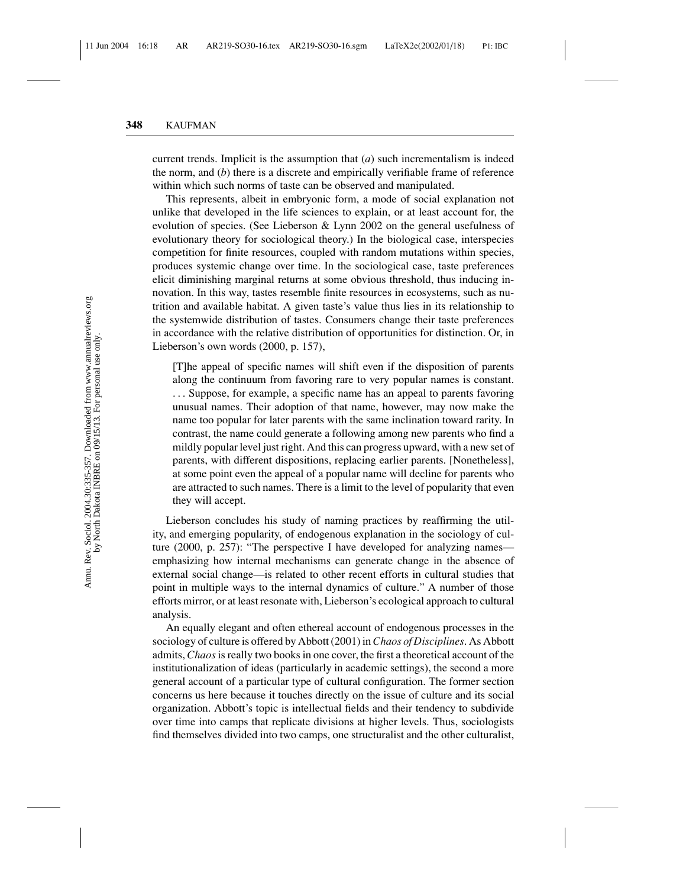current trends. Implicit is the assumption that (*a*) such incrementalism is indeed the norm, and (*b*) there is a discrete and empirically verifiable frame of reference within which such norms of taste can be observed and manipulated.

This represents, albeit in embryonic form, a mode of social explanation not unlike that developed in the life sciences to explain, or at least account for, the evolution of species. (See Lieberson  $&$  Lynn 2002 on the general usefulness of evolutionary theory for sociological theory.) In the biological case, interspecies competition for finite resources, coupled with random mutations within species, produces systemic change over time. In the sociological case, taste preferences elicit diminishing marginal returns at some obvious threshold, thus inducing innovation. In this way, tastes resemble finite resources in ecosystems, such as nutrition and available habitat. A given taste's value thus lies in its relationship to the systemwide distribution of tastes. Consumers change their taste preferences in accordance with the relative distribution of opportunities for distinction. Or, in Lieberson's own words (2000, p. 157),

[T]he appeal of specific names will shift even if the disposition of parents along the continuum from favoring rare to very popular names is constant. ... Suppose, for example, a specific name has an appeal to parents favoring unusual names. Their adoption of that name, however, may now make the name too popular for later parents with the same inclination toward rarity. In contrast, the name could generate a following among new parents who find a mildly popular level just right. And this can progress upward, with a new set of parents, with different dispositions, replacing earlier parents. [Nonetheless], at some point even the appeal of a popular name will decline for parents who are attracted to such names. There is a limit to the level of popularity that even they will accept.

Lieberson concludes his study of naming practices by reaffirming the utility, and emerging popularity, of endogenous explanation in the sociology of culture (2000, p. 257): "The perspective I have developed for analyzing names emphasizing how internal mechanisms can generate change in the absence of external social change—is related to other recent efforts in cultural studies that point in multiple ways to the internal dynamics of culture." A number of those efforts mirror, or at least resonate with, Lieberson's ecological approach to cultural analysis.

An equally elegant and often ethereal account of endogenous processes in the sociology of culture is offered by Abbott (2001) in *Chaos of Disciplines*. As Abbott admits, *Chaos*is really two books in one cover, the first a theoretical account of the institutionalization of ideas (particularly in academic settings), the second a more general account of a particular type of cultural configuration. The former section concerns us here because it touches directly on the issue of culture and its social organization. Abbott's topic is intellectual fields and their tendency to subdivide over time into camps that replicate divisions at higher levels. Thus, sociologists find themselves divided into two camps, one structuralist and the other culturalist,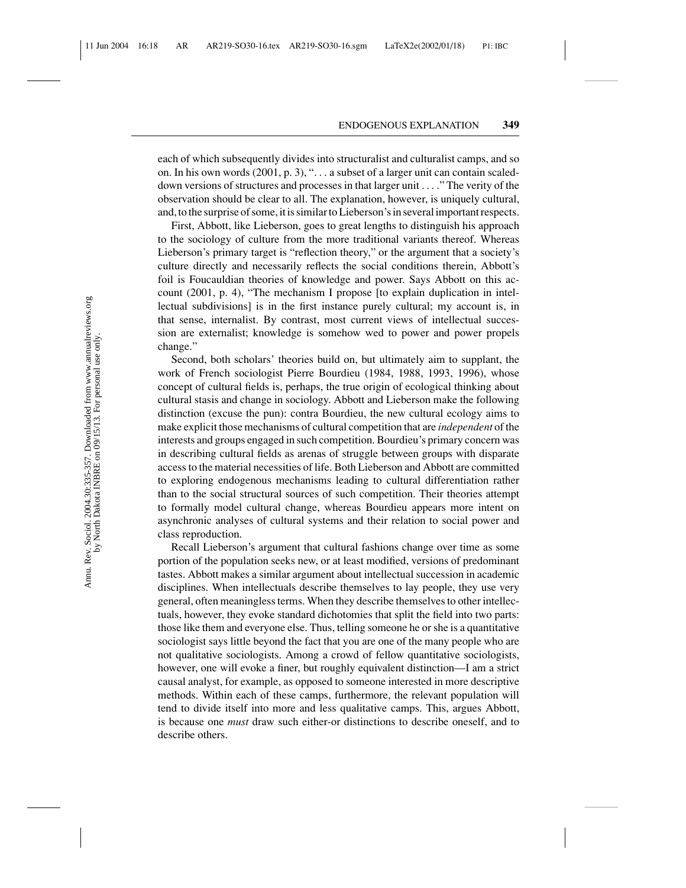each of which subsequently divides into structuralist and culturalist camps, and so on. In his own words (2001, p. 3), "... a subset of a larger unit can contain scaleddown versions of structures and processes in that larger unit ... ." The verity of the observation should be clear to all. The explanation, however, is uniquely cultural, and, to the surprise of some, it is similar to Lieberson's in several important respects.

First, Abbott, like Lieberson, goes to great lengths to distinguish his approach to the sociology of culture from the more traditional variants thereof. Whereas Lieberson's primary target is "reflection theory," or the argument that a society's culture directly and necessarily reflects the social conditions therein, Abbott's foil is Foucauldian theories of knowledge and power. Says Abbott on this account (2001, p. 4), "The mechanism I propose [to explain duplication in intellectual subdivisions] is in the first instance purely cultural; my account is, in that sense, internalist. By contrast, most current views of intellectual succession are externalist; knowledge is somehow wed to power and power propels change."

Second, both scholars' theories build on, but ultimately aim to supplant, the work of French sociologist Pierre Bourdieu (1984, 1988, 1993, 1996), whose concept of cultural fields is, perhaps, the true origin of ecological thinking about cultural stasis and change in sociology. Abbott and Lieberson make the following distinction (excuse the pun): contra Bourdieu, the new cultural ecology aims to make explicit those mechanisms of cultural competition that are *independent* of the interests and groups engaged in such competition. Bourdieu's primary concern was in describing cultural fields as arenas of struggle between groups with disparate access to the material necessities of life. Both Lieberson and Abbott are committed to exploring endogenous mechanisms leading to cultural differentiation rather than to the social structural sources of such competition. Their theories attempt to formally model cultural change, whereas Bourdieu appears more intent on asynchronic analyses of cultural systems and their relation to social power and class reproduction.

Recall Lieberson's argument that cultural fashions change over time as some portion of the population seeks new, or at least modified, versions of predominant tastes. Abbott makes a similar argument about intellectual succession in academic disciplines. When intellectuals describe themselves to lay people, they use very general, often meaningless terms. When they describe themselves to other intellectuals, however, they evoke standard dichotomies that split the field into two parts: those like them and everyone else. Thus, telling someone he or she is a quantitative sociologist says little beyond the fact that you are one of the many people who are not qualitative sociologists. Among a crowd of fellow quantitative sociologists, however, one will evoke a finer, but roughly equivalent distinction—I am a strict causal analyst, for example, as opposed to someone interested in more descriptive methods. Within each of these camps, furthermore, the relevant population will tend to divide itself into more and less qualitative camps. This, argues Abbott, is because one *must* draw such either-or distinctions to describe oneself, and to describe others.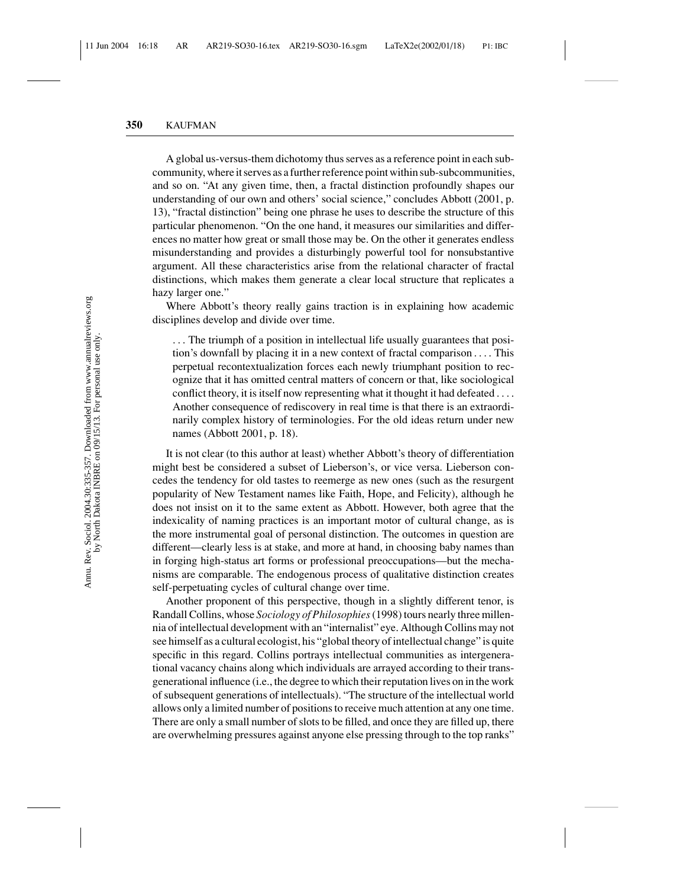A global us-versus-them dichotomy thus serves as a reference point in each subcommunity, where it serves as a further reference point within sub-subcommunities, and so on. "At any given time, then, a fractal distinction profoundly shapes our understanding of our own and others' social science," concludes Abbott (2001, p. 13), "fractal distinction" being one phrase he uses to describe the structure of this particular phenomenon. "On the one hand, it measures our similarities and differences no matter how great or small those may be. On the other it generates endless misunderstanding and provides a disturbingly powerful tool for nonsubstantive argument. All these characteristics arise from the relational character of fractal distinctions, which makes them generate a clear local structure that replicates a hazy larger one."

Where Abbott's theory really gains traction is in explaining how academic disciplines develop and divide over time.

... The triumph of a position in intellectual life usually guarantees that position's downfall by placing it in a new context of fractal comparison ... . This perpetual recontextualization forces each newly triumphant position to recognize that it has omitted central matters of concern or that, like sociological conflict theory, it is itself now representing what it thought it had defeated ... . Another consequence of rediscovery in real time is that there is an extraordinarily complex history of terminologies. For the old ideas return under new names (Abbott 2001, p. 18).

It is not clear (to this author at least) whether Abbott's theory of differentiation might best be considered a subset of Lieberson's, or vice versa. Lieberson concedes the tendency for old tastes to reemerge as new ones (such as the resurgent popularity of New Testament names like Faith, Hope, and Felicity), although he does not insist on it to the same extent as Abbott. However, both agree that the indexicality of naming practices is an important motor of cultural change, as is the more instrumental goal of personal distinction. The outcomes in question are different—clearly less is at stake, and more at hand, in choosing baby names than in forging high-status art forms or professional preoccupations—but the mechanisms are comparable. The endogenous process of qualitative distinction creates self-perpetuating cycles of cultural change over time.

Another proponent of this perspective, though in a slightly different tenor, is Randall Collins, whose *Sociology of Philosophies*(1998) tours nearly three millennia of intellectual development with an "internalist" eye. Although Collins may not see himself as a cultural ecologist, his "global theory of intellectual change" is quite specific in this regard. Collins portrays intellectual communities as intergenerational vacancy chains along which individuals are arrayed according to their transgenerational influence (i.e., the degree to which their reputation lives on in the work of subsequent generations of intellectuals). "The structure of the intellectual world allows only a limited number of positions to receive much attention at any one time. There are only a small number of slots to be filled, and once they are filled up, there are overwhelming pressures against anyone else pressing through to the top ranks"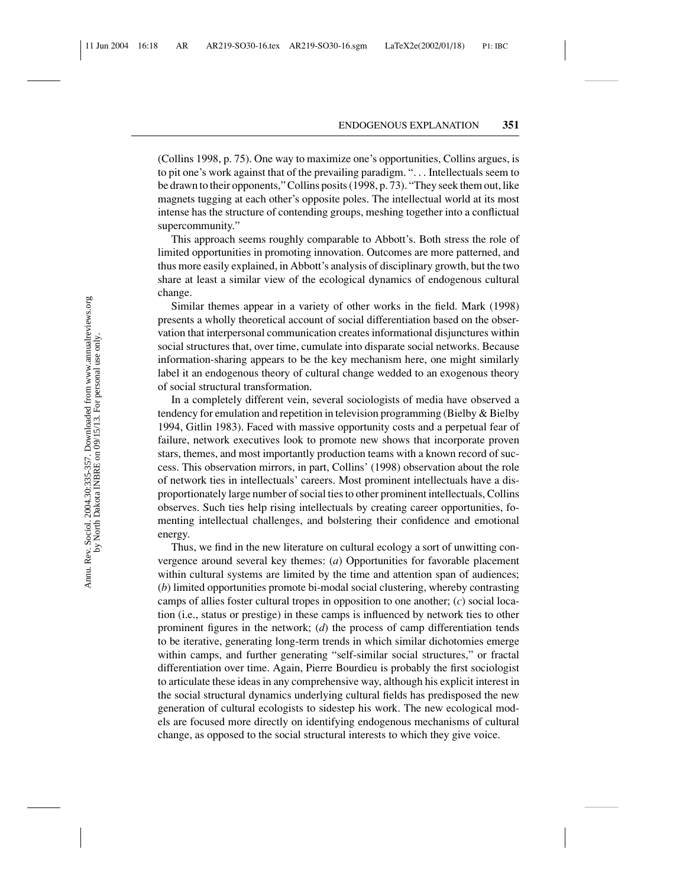(Collins 1998, p. 75). One way to maximize one's opportunities, Collins argues, is to pit one's work against that of the prevailing paradigm. "... Intellectuals seem to be drawn to their opponents,"Collins posits (1998, p. 73). "They seek them out, like magnets tugging at each other's opposite poles. The intellectual world at its most intense has the structure of contending groups, meshing together into a conflictual supercommunity."

This approach seems roughly comparable to Abbott's. Both stress the role of limited opportunities in promoting innovation. Outcomes are more patterned, and thus more easily explained, in Abbott's analysis of disciplinary growth, but the two share at least a similar view of the ecological dynamics of endogenous cultural change.

Similar themes appear in a variety of other works in the field. Mark (1998) presents a wholly theoretical account of social differentiation based on the observation that interpersonal communication creates informational disjunctures within social structures that, over time, cumulate into disparate social networks. Because information-sharing appears to be the key mechanism here, one might similarly label it an endogenous theory of cultural change wedded to an exogenous theory of social structural transformation.

In a completely different vein, several sociologists of media have observed a tendency for emulation and repetition in television programming (Bielby & Bielby 1994, Gitlin 1983). Faced with massive opportunity costs and a perpetual fear of failure, network executives look to promote new shows that incorporate proven stars, themes, and most importantly production teams with a known record of success. This observation mirrors, in part, Collins' (1998) observation about the role of network ties in intellectuals' careers. Most prominent intellectuals have a disproportionately large number of social ties to other prominent intellectuals, Collins observes. Such ties help rising intellectuals by creating career opportunities, fomenting intellectual challenges, and bolstering their confidence and emotional energy.

Thus, we find in the new literature on cultural ecology a sort of unwitting convergence around several key themes: (*a*) Opportunities for favorable placement within cultural systems are limited by the time and attention span of audiences; (*b*) limited opportunities promote bi-modal social clustering, whereby contrasting camps of allies foster cultural tropes in opposition to one another; (*c*) social location (i.e., status or prestige) in these camps is influenced by network ties to other prominent figures in the network; (*d*) the process of camp differentiation tends to be iterative, generating long-term trends in which similar dichotomies emerge within camps, and further generating "self-similar social structures," or fractal differentiation over time. Again, Pierre Bourdieu is probably the first sociologist to articulate these ideas in any comprehensive way, although his explicit interest in the social structural dynamics underlying cultural fields has predisposed the new generation of cultural ecologists to sidestep his work. The new ecological models are focused more directly on identifying endogenous mechanisms of cultural change, as opposed to the social structural interests to which they give voice.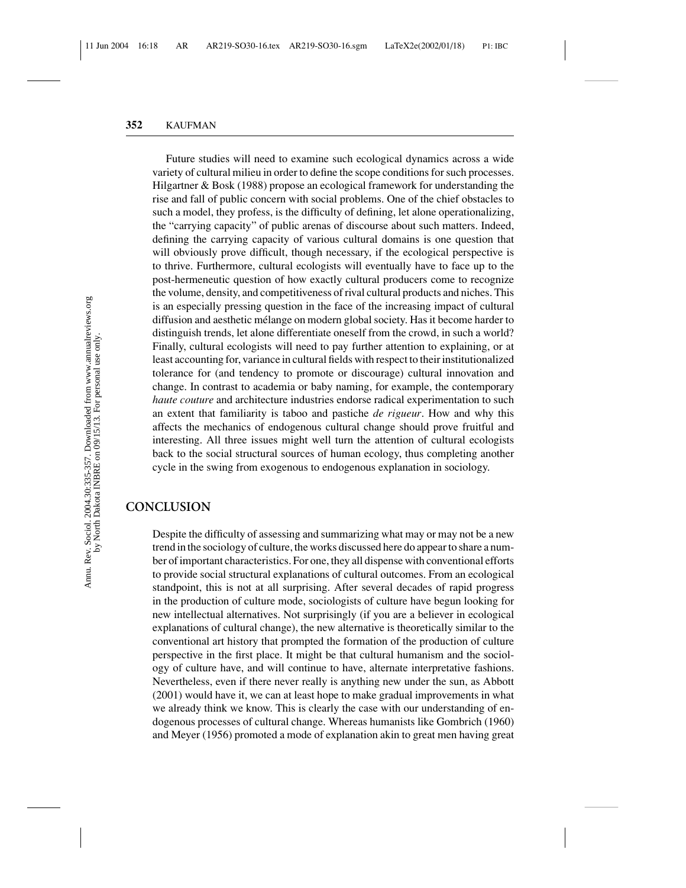Future studies will need to examine such ecological dynamics across a wide variety of cultural milieu in order to define the scope conditions for such processes. Hilgartner & Bosk (1988) propose an ecological framework for understanding the rise and fall of public concern with social problems. One of the chief obstacles to such a model, they profess, is the difficulty of defining, let alone operationalizing, the "carrying capacity" of public arenas of discourse about such matters. Indeed, defining the carrying capacity of various cultural domains is one question that will obviously prove difficult, though necessary, if the ecological perspective is to thrive. Furthermore, cultural ecologists will eventually have to face up to the post-hermeneutic question of how exactly cultural producers come to recognize the volume, density, and competitiveness of rival cultural products and niches. This is an especially pressing question in the face of the increasing impact of cultural diffusion and aesthetic melange on modern global society. Has it become harder to ´ distinguish trends, let alone differentiate oneself from the crowd, in such a world? Finally, cultural ecologists will need to pay further attention to explaining, or at least accounting for, variance in cultural fields with respect to their institutionalized tolerance for (and tendency to promote or discourage) cultural innovation and change. In contrast to academia or baby naming, for example, the contemporary *haute couture* and architecture industries endorse radical experimentation to such an extent that familiarity is taboo and pastiche *de rigueur*. How and why this affects the mechanics of endogenous cultural change should prove fruitful and interesting. All three issues might well turn the attention of cultural ecologists back to the social structural sources of human ecology, thus completing another cycle in the swing from exogenous to endogenous explanation in sociology.

#### **CONCLUSION**

Despite the difficulty of assessing and summarizing what may or may not be a new trend in the sociology of culture, the works discussed here do appear to share a number of important characteristics. For one, they all dispense with conventional efforts to provide social structural explanations of cultural outcomes. From an ecological standpoint, this is not at all surprising. After several decades of rapid progress in the production of culture mode, sociologists of culture have begun looking for new intellectual alternatives. Not surprisingly (if you are a believer in ecological explanations of cultural change), the new alternative is theoretically similar to the conventional art history that prompted the formation of the production of culture perspective in the first place. It might be that cultural humanism and the sociology of culture have, and will continue to have, alternate interpretative fashions. Nevertheless, even if there never really is anything new under the sun, as Abbott (2001) would have it, we can at least hope to make gradual improvements in what we already think we know. This is clearly the case with our understanding of endogenous processes of cultural change. Whereas humanists like Gombrich (1960) and Meyer (1956) promoted a mode of explanation akin to great men having great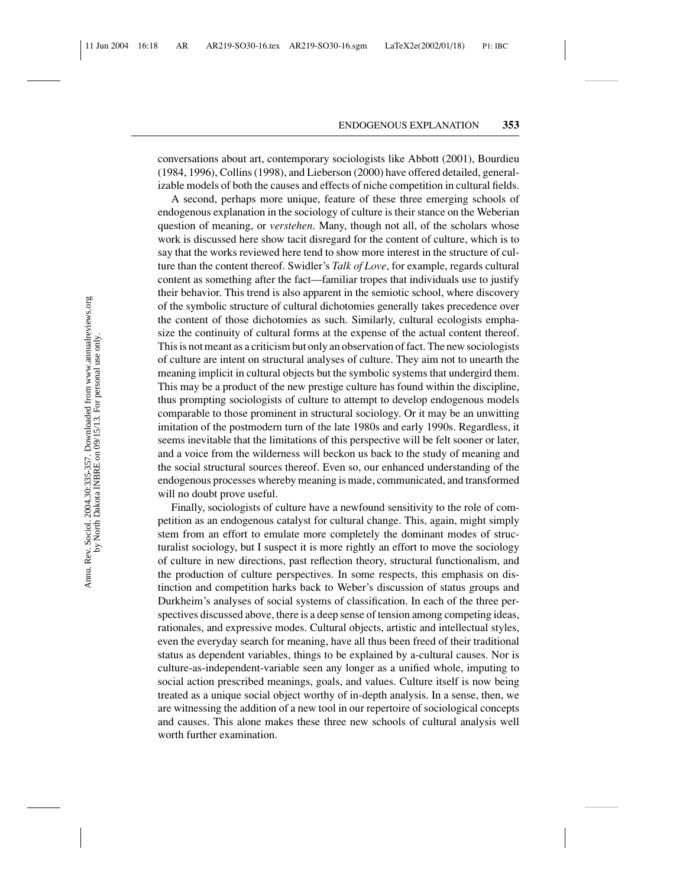conversations about art, contemporary sociologists like Abbott (2001), Bourdieu (1984, 1996), Collins (1998), and Lieberson (2000) have offered detailed, generalizable models of both the causes and effects of niche competition in cultural fields.

A second, perhaps more unique, feature of these three emerging schools of endogenous explanation in the sociology of culture is their stance on the Weberian question of meaning, or *verstehen*. Many, though not all, of the scholars whose work is discussed here show tacit disregard for the content of culture, which is to say that the works reviewed here tend to show more interest in the structure of culture than the content thereof. Swidler's *Talk of Love*, for example, regards cultural content as something after the fact—familiar tropes that individuals use to justify their behavior. This trend is also apparent in the semiotic school, where discovery of the symbolic structure of cultural dichotomies generally takes precedence over the content of those dichotomies as such. Similarly, cultural ecologists emphasize the continuity of cultural forms at the expense of the actual content thereof. This is not meant as a criticism but only an observation of fact. The new sociologists of culture are intent on structural analyses of culture. They aim not to unearth the meaning implicit in cultural objects but the symbolic systems that undergird them. This may be a product of the new prestige culture has found within the discipline, thus prompting sociologists of culture to attempt to develop endogenous models comparable to those prominent in structural sociology. Or it may be an unwitting imitation of the postmodern turn of the late 1980s and early 1990s. Regardless, it seems inevitable that the limitations of this perspective will be felt sooner or later, and a voice from the wilderness will beckon us back to the study of meaning and the social structural sources thereof. Even so, our enhanced understanding of the endogenous processes whereby meaning is made, communicated, and transformed will no doubt prove useful.

Finally, sociologists of culture have a newfound sensitivity to the role of competition as an endogenous catalyst for cultural change. This, again, might simply stem from an effort to emulate more completely the dominant modes of structuralist sociology, but I suspect it is more rightly an effort to move the sociology of culture in new directions, past reflection theory, structural functionalism, and the production of culture perspectives. In some respects, this emphasis on distinction and competition harks back to Weber's discussion of status groups and Durkheim's analyses of social systems of classification. In each of the three perspectives discussed above, there is a deep sense of tension among competing ideas, rationales, and expressive modes. Cultural objects, artistic and intellectual styles, even the everyday search for meaning, have all thus been freed of their traditional status as dependent variables, things to be explained by a-cultural causes. Nor is culture-as-independent-variable seen any longer as a unified whole, imputing to social action prescribed meanings, goals, and values. Culture itself is now being treated as a unique social object worthy of in-depth analysis. In a sense, then, we are witnessing the addition of a new tool in our repertoire of sociological concepts and causes. This alone makes these three new schools of cultural analysis well worth further examination.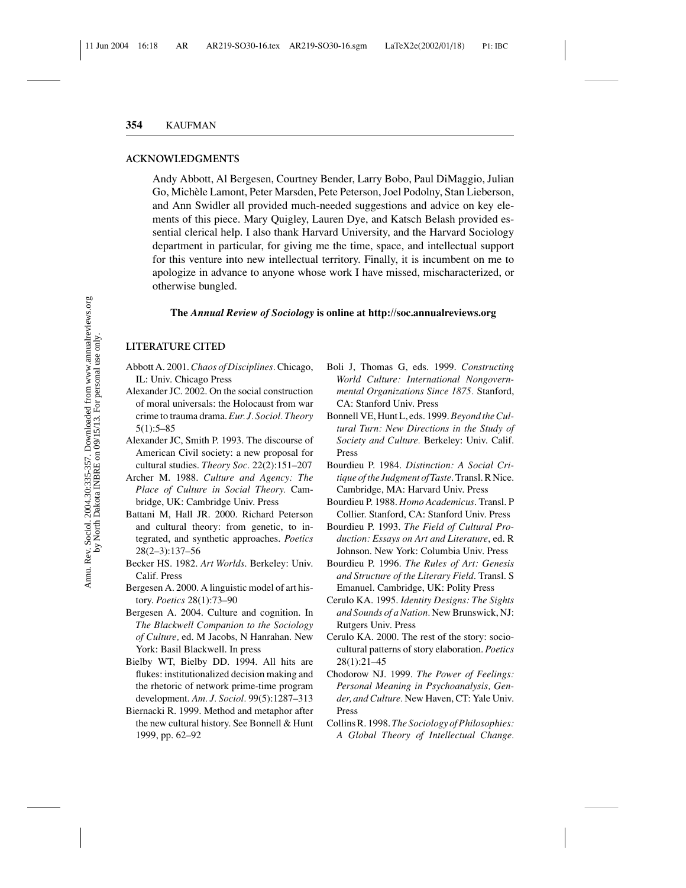#### **ACKNOWLEDGMENTS**

Andy Abbott, Al Bergesen, Courtney Bender, Larry Bobo, Paul DiMaggio, Julian Go, Mich`ele Lamont, Peter Marsden, Pete Peterson, Joel Podolny, Stan Lieberson, and Ann Swidler all provided much-needed suggestions and advice on key elements of this piece. Mary Quigley, Lauren Dye, and Katsch Belash provided essential clerical help. I also thank Harvard University, and the Harvard Sociology department in particular, for giving me the time, space, and intellectual support for this venture into new intellectual territory. Finally, it is incumbent on me to apologize in advance to anyone whose work I have missed, mischaracterized, or otherwise bungled.

**The** *Annual Review of Sociology* **is online at http://soc.annualreviews.org**

#### **LITERATURE CITED**

- Abbott A. 2001.*Chaos of Disciplines.*Chicago, IL: Univ. Chicago Press
- Alexander JC. 2002. On the social construction of moral universals: the Holocaust from war crime to trauma drama. *Eur. J. Sociol. Theory* 5(1):5–85
- Alexander JC, Smith P. 1993. The discourse of American Civil society: a new proposal for cultural studies. *Theory Soc.* 22(2):151–207
- Archer M. 1988. *Culture and Agency: The Place of Culture in Social Theory.* Cambridge, UK: Cambridge Univ. Press
- Battani M, Hall JR. 2000. Richard Peterson and cultural theory: from genetic, to integrated, and synthetic approaches. *Poetics* 28(2–3):137–56
- Becker HS. 1982. *Art Worlds*. Berkeley: Univ. Calif. Press
- Bergesen A. 2000. A linguistic model of art history. *Poetics* 28(1):73–90
- Bergesen A. 2004. Culture and cognition. In *The Blackwell Companion to the Sociology of Culture,* ed. M Jacobs, N Hanrahan. New York: Basil Blackwell. In press
- Bielby WT, Bielby DD. 1994. All hits are flukes: institutionalized decision making and the rhetoric of network prime-time program development. *Am. J. Sociol.* 99(5):1287–313
- Biernacki R. 1999. Method and metaphor after the new cultural history. See Bonnell & Hunt 1999, pp. 62–92
- Boli J, Thomas G, eds. 1999. *Constructing World Culture: International Nongovernmental Organizations Since 1875.* Stanford, CA: Stanford Univ. Press
- Bonnell VE, Hunt L, eds. 1999. *Beyond the Cultural Turn: New Directions in the Study of Society and Culture.* Berkeley: Univ. Calif. Press
- Bourdieu P. 1984. *Distinction: A Social Critique of the Judgment of Taste*. Transl. R Nice. Cambridge, MA: Harvard Univ. Press
- Bourdieu P. 1988. *Homo Academicus*. Transl. P Collier. Stanford, CA: Stanford Univ. Press
- Bourdieu P. 1993. *The Field of Cultural Production: Essays on Art and Literature*, ed. R Johnson. New York: Columbia Univ. Press
- Bourdieu P. 1996. *The Rules of Art: Genesis and Structure of the Literary Field*. Transl. S Emanuel. Cambridge, UK: Polity Press
- Cerulo KA. 1995. *Identity Designs: The Sights and Sounds of a Nation.* New Brunswick, NJ: Rutgers Univ. Press
- Cerulo KA. 2000. The rest of the story: sociocultural patterns of story elaboration. *Poetics* 28(1):21–45
- Chodorow NJ. 1999. *The Power of Feelings: Personal Meaning in Psychoanalysis, Gender, and Culture.* New Haven, CT: Yale Univ. Press
- Collins R. 1998. *The Sociology of Philosophies: A Global Theory of Intellectual Change.*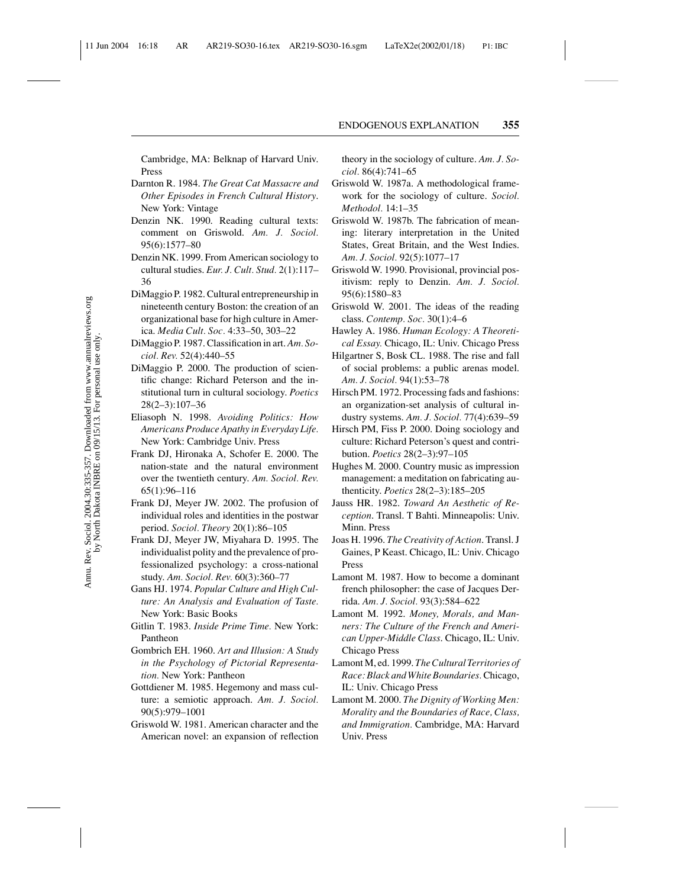Cambridge, MA: Belknap of Harvard Univ. Press

- Darnton R. 1984. *The Great Cat Massacre and Other Episodes in French Cultural History*. New York: Vintage
- Denzin NK. 1990. Reading cultural texts: comment on Griswold. *Am. J. Sociol.* 95(6):1577–80
- Denzin NK. 1999. From American sociology to cultural studies. *Eur. J. Cult. Stud.* 2(1):117– 36
- DiMaggio P. 1982. Cultural entrepreneurship in nineteenth century Boston: the creation of an organizational base for high culture in America. *Media Cult. Soc.* 4:33–50, 303–22
- DiMaggio P. 1987. Classification in art. *Am. Sociol. Rev.* 52(4):440–55
- DiMaggio P. 2000. The production of scientific change: Richard Peterson and the institutional turn in cultural sociology. *Poetics* 28(2–3):107–36
- Eliasoph N. 1998. *Avoiding Politics: How Americans Produce Apathy in Everyday Life.* New York: Cambridge Univ. Press
- Frank DJ, Hironaka A, Schofer E. 2000. The nation-state and the natural environment over the twentieth century. *Am. Sociol. Rev.* 65(1):96–116
- Frank DJ, Meyer JW. 2002. The profusion of individual roles and identities in the postwar period. *Sociol. Theory* 20(1):86–105
- Frank DJ, Meyer JW, Miyahara D. 1995. The individualist polity and the prevalence of professionalized psychology: a cross-national study. *Am. Sociol. Rev.* 60(3):360–77
- Gans HJ. 1974. *Popular Culture and High Culture: An Analysis and Evaluation of Taste.* New York: Basic Books
- Gitlin T. 1983. *Inside Prime Time.* New York: Pantheon
- Gombrich EH. 1960. *Art and Illusion: A Study in the Psychology of Pictorial Representation.* New York: Pantheon
- Gottdiener M. 1985. Hegemony and mass culture: a semiotic approach. *Am. J. Sociol.* 90(5):979–1001
- Griswold W. 1981. American character and the American novel: an expansion of reflection

theory in the sociology of culture. *Am. J. Sociol.* 86(4):741–65

- Griswold W. 1987a. A methodological framework for the sociology of culture. *Sociol. Methodol.* 14:1–35
- Griswold W. 1987b. The fabrication of meaning: literary interpretation in the United States, Great Britain, and the West Indies. *Am. J. Sociol.* 92(5):1077–17
- Griswold W. 1990. Provisional, provincial positivism: reply to Denzin. *Am. J. Sociol.* 95(6):1580–83
- Griswold W. 2001. The ideas of the reading class. *Contemp. Soc.* 30(1):4–6
- Hawley A. 1986. *Human Ecology: A Theoretical Essay.* Chicago, IL: Univ. Chicago Press
- Hilgartner S, Bosk CL. 1988. The rise and fall of social problems: a public arenas model. *Am. J. Sociol.* 94(1):53–78
- Hirsch PM. 1972. Processing fads and fashions: an organization-set analysis of cultural industry systems. *Am. J. Sociol.* 77(4):639–59
- Hirsch PM, Fiss P. 2000. Doing sociology and culture: Richard Peterson's quest and contribution. *Poetics* 28(2–3):97–105
- Hughes M. 2000. Country music as impression management: a meditation on fabricating authenticity. *Poetics* 28(2–3):185–205
- Jauss HR. 1982. *Toward An Aesthetic of Reception*. Transl. T Bahti. Minneapolis: Univ. Minn. Press
- Joas H. 1996. *The Creativity of Action*. Transl. J Gaines, P Keast. Chicago, IL: Univ. Chicago Press
- Lamont M. 1987. How to become a dominant french philosopher: the case of Jacques Derrida. *Am. J. Sociol.* 93(3):584–622
- Lamont M. 1992. *Money, Morals, and Manners: The Culture of the French and American Upper-Middle Class*. Chicago, IL: Univ. Chicago Press
- Lamont M, ed. 1999. *The Cultural Territories of Race: Black and White Boundaries.*Chicago, IL: Univ. Chicago Press
- Lamont M. 2000. *The Dignity of Working Men: Morality and the Boundaries of Race, Class, and Immigration.* Cambridge, MA: Harvard Univ. Press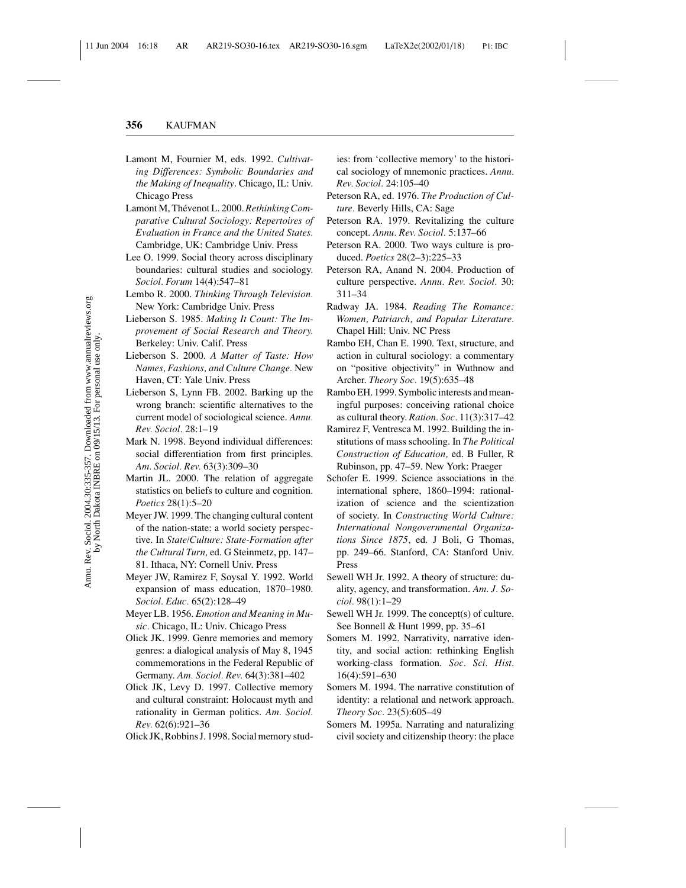- Lamont M, Fournier M, eds. 1992. *Cultivating Differences: Symbolic Boundaries and the Making of Inequality*. Chicago, IL: Univ. Chicago Press
- Lamont M, Thévenot L. 2000. Rethinking Com*parative Cultural Sociology: Repertoires of Evaluation in France and the United States.* Cambridge, UK: Cambridge Univ. Press
- Lee O. 1999. Social theory across disciplinary boundaries: cultural studies and sociology. *Sociol. Forum* 14(4):547–81
- Lembo R. 2000. *Thinking Through Television.* New York: Cambridge Univ. Press
- Lieberson S. 1985. *Making It Count: The Improvement of Social Research and Theory.* Berkeley: Univ. Calif. Press
- Lieberson S. 2000. *A Matter of Taste: How Names, Fashions, and Culture Change.* New Haven, CT: Yale Univ. Press
- Lieberson S, Lynn FB. 2002. Barking up the wrong branch: scientific alternatives to the current model of sociological science. *Annu. Rev. Sociol.* 28:1–19
- Mark N. 1998. Beyond individual differences: social differentiation from first principles. *Am. Sociol. Rev.* 63(3):309–30
- Martin JL. 2000. The relation of aggregate statistics on beliefs to culture and cognition. *Poetics* 28(1):5–20
- Meyer JW. 1999. The changing cultural content of the nation-state: a world society perspective. In *State/Culture: State-Formation after the Cultural Turn,* ed. G Steinmetz, pp. 147– 81. Ithaca, NY: Cornell Univ. Press
- Meyer JW, Ramirez F, Soysal Y. 1992. World expansion of mass education, 1870–1980. *Sociol. Educ.* 65(2):128–49
- Meyer LB. 1956. *Emotion and Meaning in Music.* Chicago, IL: Univ. Chicago Press
- Olick JK. 1999. Genre memories and memory genres: a dialogical analysis of May 8, 1945 commemorations in the Federal Republic of Germany. *Am. Sociol. Rev.* 64(3):381–402
- Olick JK, Levy D. 1997. Collective memory and cultural constraint: Holocaust myth and rationality in German politics. *Am. Sociol. Rev.* 62(6):921–36
- Olick JK, Robbins J. 1998. Social memory stud-

ies: from 'collective memory' to the historical sociology of mnemonic practices. *Annu. Rev. Sociol.* 24:105–40

- Peterson RA, ed. 1976. *The Production of Culture.* Beverly Hills, CA: Sage
- Peterson RA. 1979. Revitalizing the culture concept. *Annu. Rev. Sociol.* 5:137–66
- Peterson RA. 2000. Two ways culture is produced. *Poetics* 28(2–3):225–33
- Peterson RA, Anand N. 2004. Production of culture perspective. *Annu. Rev. Sociol.* 30: 311–34
- Radway JA. 1984. *Reading The Romance: Women, Patriarch, and Popular Literature.* Chapel Hill: Univ. NC Press
- Rambo EH, Chan E. 1990. Text, structure, and action in cultural sociology: a commentary on "positive objectivity" in Wuthnow and Archer. *Theory Soc.* 19(5):635–48
- Rambo EH. 1999. Symbolic interests and meaningful purposes: conceiving rational choice as cultural theory. *Ration. Soc.* 11(3):317–42
- Ramirez F, Ventresca M. 1992. Building the institutions of mass schooling. In *The Political Construction of Education,* ed. B Fuller, R Rubinson, pp. 47–59. New York: Praeger
- Schofer E. 1999. Science associations in the international sphere, 1860–1994: rationalization of science and the scientization of society. In *Constructing World Culture: International Nongovernmental Organizations Since 1875*, ed. J Boli, G Thomas, pp. 249–66. Stanford, CA: Stanford Univ. Press
- Sewell WH Jr. 1992. A theory of structure: duality, agency, and transformation. *Am. J. Sociol.* 98(1):1–29
- Sewell WH Jr. 1999. The concept(s) of culture. See Bonnell & Hunt 1999, pp. 35–61
- Somers M. 1992. Narrativity, narrative identity, and social action: rethinking English working-class formation. *Soc. Sci. Hist.* 16(4):591–630
- Somers M. 1994. The narrative constitution of identity: a relational and network approach. *Theory Soc.* 23(5):605–49
- Somers M. 1995a. Narrating and naturalizing civil society and citizenship theory: the place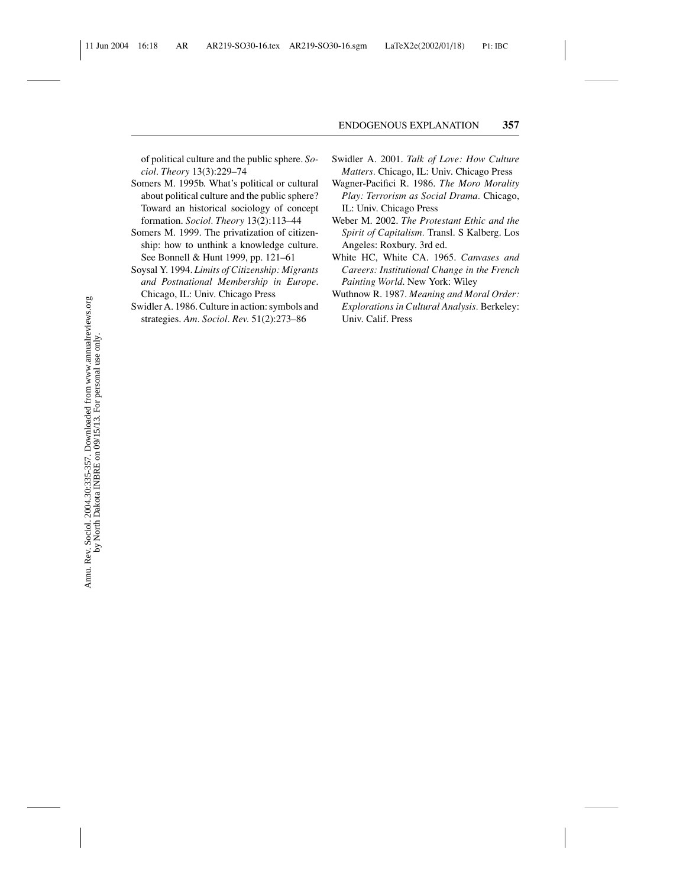of political culture and the public sphere. *Sociol. Theory* 13(3):229–74

- Somers M. 1995b. What's political or cultural about political culture and the public sphere? Toward an historical sociology of concept formation. *Sociol. Theory* 13(2):113–44
- Somers M. 1999. The privatization of citizenship: how to unthink a knowledge culture. See Bonnell & Hunt 1999, pp. 121–61
- Soysal Y. 1994. *Limits of Citizenship: Migrants and Postnational Membership in Europe*. Chicago, IL: Univ. Chicago Press
- Swidler A. 1986. Culture in action: symbols and strategies. *Am. Sociol. Rev.* 51(2):273–86
- Swidler A. 2001. *Talk of Love: How Culture Matters.* Chicago, IL: Univ. Chicago Press
- Wagner-Pacifici R. 1986. *The Moro Morality Play: Terrorism as Social Drama.* Chicago, IL: Univ. Chicago Press
- Weber M. 2002. *The Protestant Ethic and the Spirit of Capitalism.* Transl. S Kalberg. Los Angeles: Roxbury. 3rd ed.
- White HC, White CA. 1965. *Canvases and Careers: Institutional Change in the French Painting World*. New York: Wiley
- Wuthnow R. 1987. *Meaning and Moral Order: Explorations in Cultural Analysis.* Berkeley: Univ. Calif. Press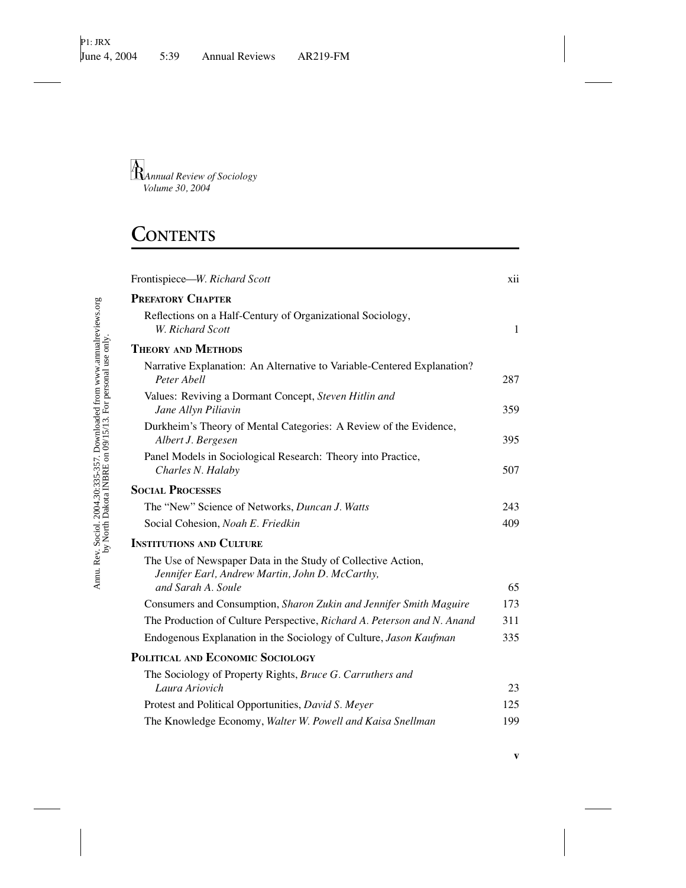# **CONTENTS**

| Frontispiece—W. Richard Scott                                                                                   | xii          |
|-----------------------------------------------------------------------------------------------------------------|--------------|
| <b>PREFATORY CHAPTER</b>                                                                                        |              |
| Reflections on a Half-Century of Organizational Sociology,<br>W. Richard Scott                                  | $\mathbf{1}$ |
| <b>THEORY AND METHODS</b>                                                                                       |              |
| Narrative Explanation: An Alternative to Variable-Centered Explanation?<br>Peter Abell                          | 287          |
| Values: Reviving a Dormant Concept, Steven Hitlin and<br>Jane Allyn Piliavin                                    | 359          |
| Durkheim's Theory of Mental Categories: A Review of the Evidence,<br>Albert J. Bergesen                         | 395          |
| Panel Models in Sociological Research: Theory into Practice,<br>Charles N. Halaby                               | 507          |
| <b>SOCIAL PROCESSES</b>                                                                                         |              |
| The "New" Science of Networks, Duncan J. Watts                                                                  | 243          |
| Social Cohesion, Noah E. Friedkin                                                                               | 409          |
| <b>INSTITUTIONS AND CULTURE</b>                                                                                 |              |
| The Use of Newspaper Data in the Study of Collective Action,<br>Jennifer Earl, Andrew Martin, John D. McCarthy, |              |
| and Sarah A. Soule                                                                                              | 65           |
| Consumers and Consumption, Sharon Zukin and Jennifer Smith Maguire                                              | 173          |
| The Production of Culture Perspective, Richard A. Peterson and N. Anand                                         | 311          |
| Endogenous Explanation in the Sociology of Culture, Jason Kaufman                                               | 335          |
| POLITICAL AND ECONOMIC SOCIOLOGY                                                                                |              |
| The Sociology of Property Rights, Bruce G. Carruthers and<br>Laura Ariovich                                     | 23           |
| Protest and Political Opportunities, David S. Meyer                                                             | 125          |
| The Knowledge Economy, Walter W. Powell and Kaisa Snellman                                                      | 199          |